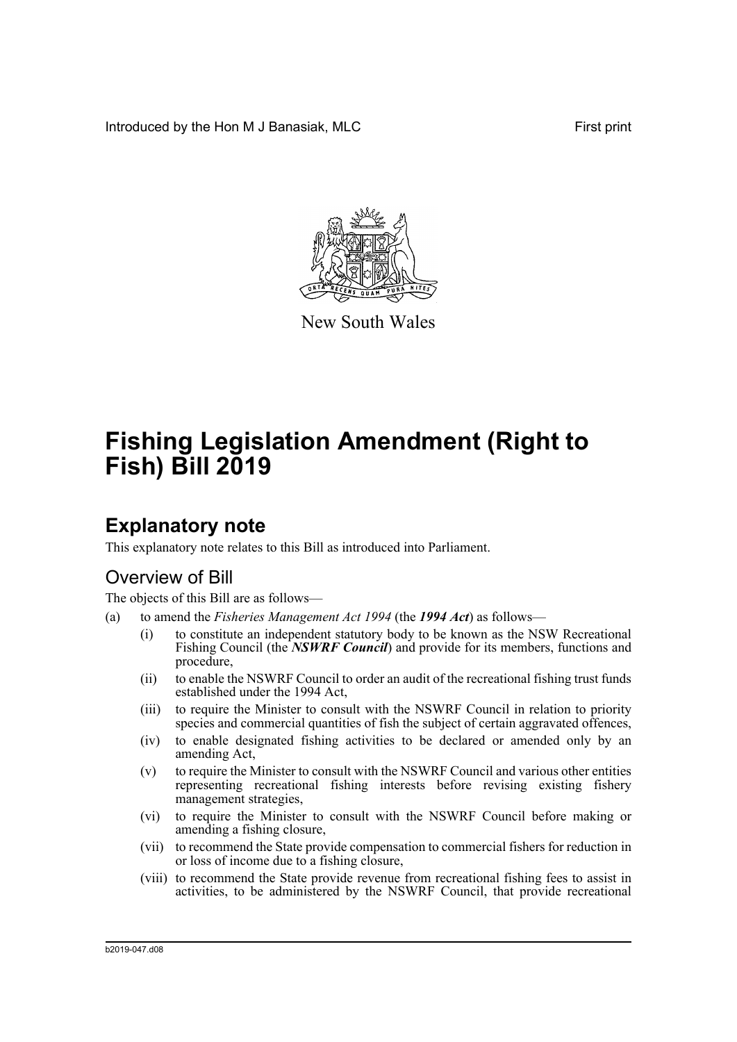Introduced by the Hon M J Banasiak, MLC **First print** First print



New South Wales

# **Fishing Legislation Amendment (Right to Fish) Bill 2019**

# **Explanatory note**

This explanatory note relates to this Bill as introduced into Parliament.

## Overview of Bill

The objects of this Bill are as follows—

- (a) to amend the *Fisheries Management Act 1994* (the *1994 Act*) as follows—
	- (i) to constitute an independent statutory body to be known as the NSW Recreational Fishing Council (the *NSWRF Council*) and provide for its members, functions and procedure,
	- (ii) to enable the NSWRF Council to order an audit of the recreational fishing trust funds established under the 1994 Act,
	- (iii) to require the Minister to consult with the NSWRF Council in relation to priority species and commercial quantities of fish the subject of certain aggravated offences,
	- (iv) to enable designated fishing activities to be declared or amended only by an amending Act,
	- (v) to require the Minister to consult with the NSWRF Council and various other entities representing recreational fishing interests before revising existing fishery management strategies,
	- (vi) to require the Minister to consult with the NSWRF Council before making or amending a fishing closure,
	- (vii) to recommend the State provide compensation to commercial fishers for reduction in or loss of income due to a fishing closure,
	- (viii) to recommend the State provide revenue from recreational fishing fees to assist in activities, to be administered by the NSWRF Council, that provide recreational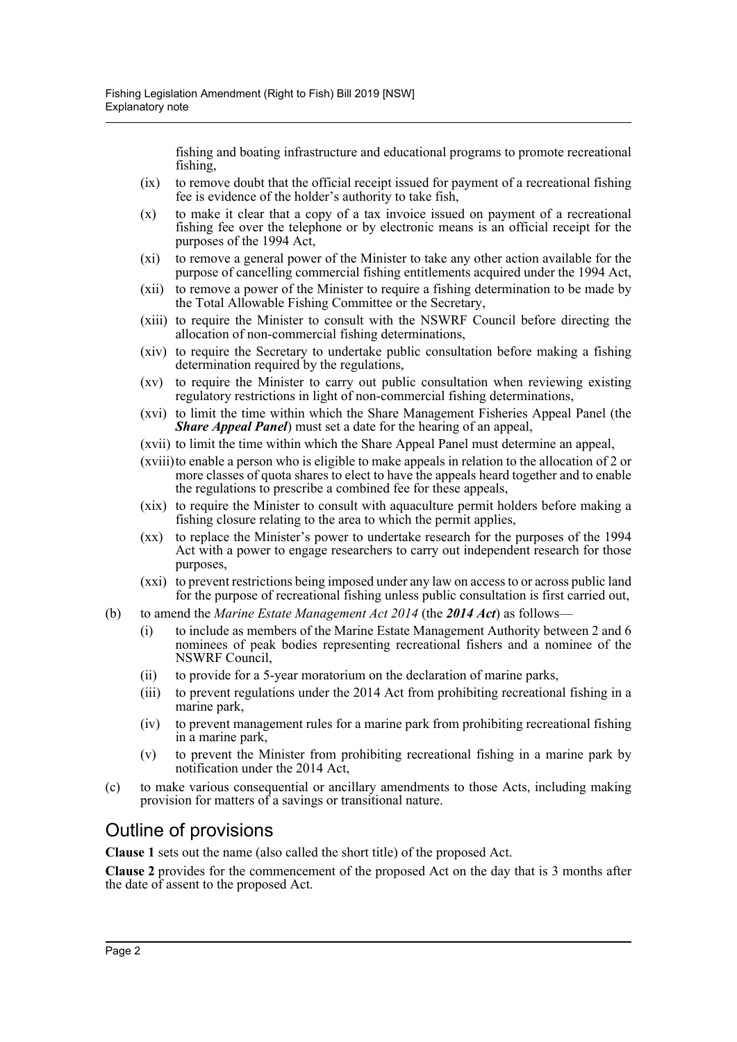fishing and boating infrastructure and educational programs to promote recreational fishing,

- (ix) to remove doubt that the official receipt issued for payment of a recreational fishing fee is evidence of the holder's authority to take fish,
- (x) to make it clear that a copy of a tax invoice issued on payment of a recreational fishing fee over the telephone or by electronic means is an official receipt for the purposes of the 1994 Act,
- (xi) to remove a general power of the Minister to take any other action available for the purpose of cancelling commercial fishing entitlements acquired under the 1994 Act,
- (xii) to remove a power of the Minister to require a fishing determination to be made by the Total Allowable Fishing Committee or the Secretary,
- (xiii) to require the Minister to consult with the NSWRF Council before directing the allocation of non-commercial fishing determinations,
- (xiv) to require the Secretary to undertake public consultation before making a fishing determination required by the regulations,
- (xv) to require the Minister to carry out public consultation when reviewing existing regulatory restrictions in light of non-commercial fishing determinations,
- (xvi) to limit the time within which the Share Management Fisheries Appeal Panel (the *Share Appeal Panel*) must set a date for the hearing of an appeal,
- (xvii) to limit the time within which the Share Appeal Panel must determine an appeal,
- (xviii)to enable a person who is eligible to make appeals in relation to the allocation of 2 or more classes of quota shares to elect to have the appeals heard together and to enable the regulations to prescribe a combined fee for these appeals,
- (xix) to require the Minister to consult with aquaculture permit holders before making a fishing closure relating to the area to which the permit applies,
- (xx) to replace the Minister's power to undertake research for the purposes of the 1994 Act with a power to engage researchers to carry out independent research for those purposes,
- (xxi) to prevent restrictions being imposed under any law on access to or across public land for the purpose of recreational fishing unless public consultation is first carried out,
- (b) to amend the *Marine Estate Management Act 2014* (the *2014 Act*) as follows—
	- (i) to include as members of the Marine Estate Management Authority between 2 and 6 nominees of peak bodies representing recreational fishers and a nominee of the NSWRF Council,
	- (ii) to provide for a 5-year moratorium on the declaration of marine parks,
	- (iii) to prevent regulations under the 2014 Act from prohibiting recreational fishing in a marine park,
	- (iv) to prevent management rules for a marine park from prohibiting recreational fishing in a marine park,
	- (v) to prevent the Minister from prohibiting recreational fishing in a marine park by notification under the 2014 Act,
- (c) to make various consequential or ancillary amendments to those Acts, including making provision for matters of a savings or transitional nature.

## Outline of provisions

**Clause 1** sets out the name (also called the short title) of the proposed Act.

**Clause 2** provides for the commencement of the proposed Act on the day that is 3 months after the date of assent to the proposed Act.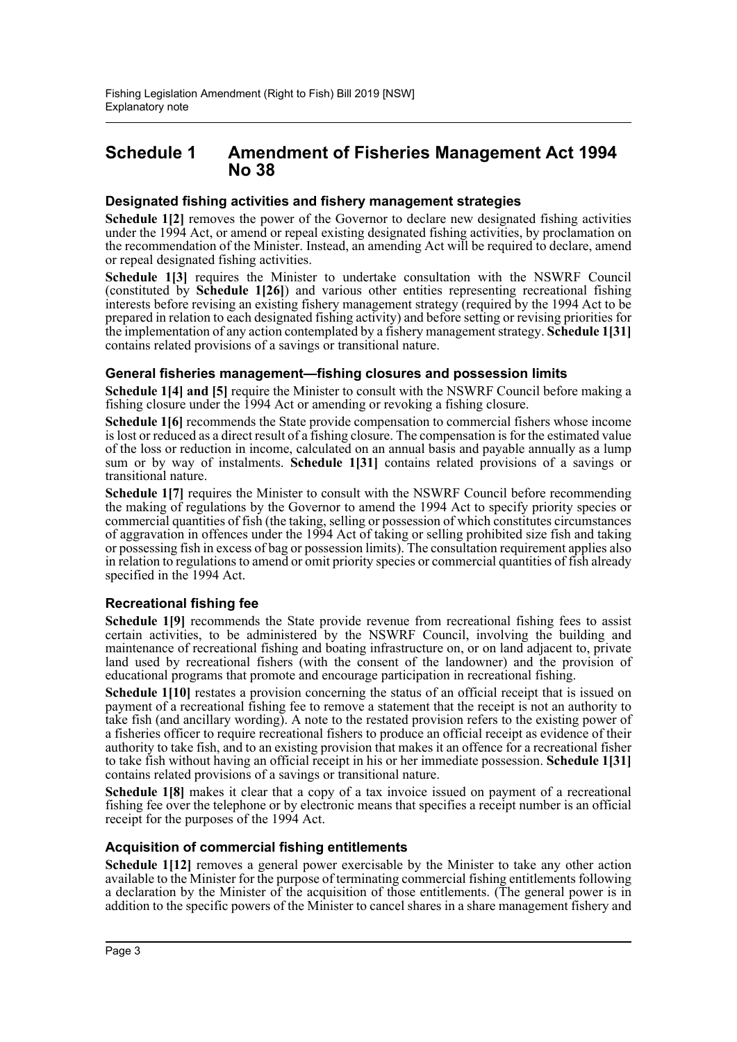## **Schedule 1 Amendment of Fisheries Management Act 1994 No 38**

## **Designated fishing activities and fishery management strategies**

Schedule 1[2] removes the power of the Governor to declare new designated fishing activities under the 1994 Act, or amend or repeal existing designated fishing activities, by proclamation on the recommendation of the Minister. Instead, an amending Act will be required to declare, amend or repeal designated fishing activities.

**Schedule 1[3]** requires the Minister to undertake consultation with the NSWRF Council (constituted by **Schedule 1[26]**) and various other entities representing recreational fishing interests before revising an existing fishery management strategy (required by the 1994 Act to be prepared in relation to each designated fishing activity) and before setting or revising priorities for the implementation of any action contemplated by a fishery management strategy. **Schedule 1[31]** contains related provisions of a savings or transitional nature.

## **General fisheries management—fishing closures and possession limits**

**Schedule 1[4] and [5]** require the Minister to consult with the NSWRF Council before making a fishing closure under the 1994 Act or amending or revoking a fishing closure.

**Schedule 1[6]** recommends the State provide compensation to commercial fishers whose income is lost or reduced as a direct result of a fishing closure. The compensation is for the estimated value of the loss or reduction in income, calculated on an annual basis and payable annually as a lump sum or by way of instalments. **Schedule 1[31]** contains related provisions of a savings or transitional nature.

**Schedule 1[7]** requires the Minister to consult with the NSWRF Council before recommending the making of regulations by the Governor to amend the 1994 Act to specify priority species or commercial quantities of fish (the taking, selling or possession of which constitutes circumstances of aggravation in offences under the 1994 Act of taking or selling prohibited size fish and taking or possessing fish in excess of bag or possession limits). The consultation requirement applies also in relation to regulations to amend or omit priority species or commercial quantities of fish already specified in the 1994 Act.

## **Recreational fishing fee**

**Schedule 1[9]** recommends the State provide revenue from recreational fishing fees to assist certain activities, to be administered by the NSWRF Council, involving the building and maintenance of recreational fishing and boating infrastructure on, or on land adjacent to, private land used by recreational fishers (with the consent of the landowner) and the provision of educational programs that promote and encourage participation in recreational fishing.

**Schedule 1[10]** restates a provision concerning the status of an official receipt that is issued on payment of a recreational fishing fee to remove a statement that the receipt is not an authority to take fish (and ancillary wording). A note to the restated provision refers to the existing power of a fisheries officer to require recreational fishers to produce an official receipt as evidence of their authority to take fish, and to an existing provision that makes it an offence for a recreational fisher to take fish without having an official receipt in his or her immediate possession. **Schedule 1[31]** contains related provisions of a savings or transitional nature.

**Schedule 1[8]** makes it clear that a copy of a tax invoice issued on payment of a recreational fishing fee over the telephone or by electronic means that specifies a receipt number is an official receipt for the purposes of the 1994 Act.

## **Acquisition of commercial fishing entitlements**

**Schedule 1[12]** removes a general power exercisable by the Minister to take any other action available to the Minister for the purpose of terminating commercial fishing entitlements following a declaration by the Minister of the acquisition of those entitlements. (The general power is in addition to the specific powers of the Minister to cancel shares in a share management fishery and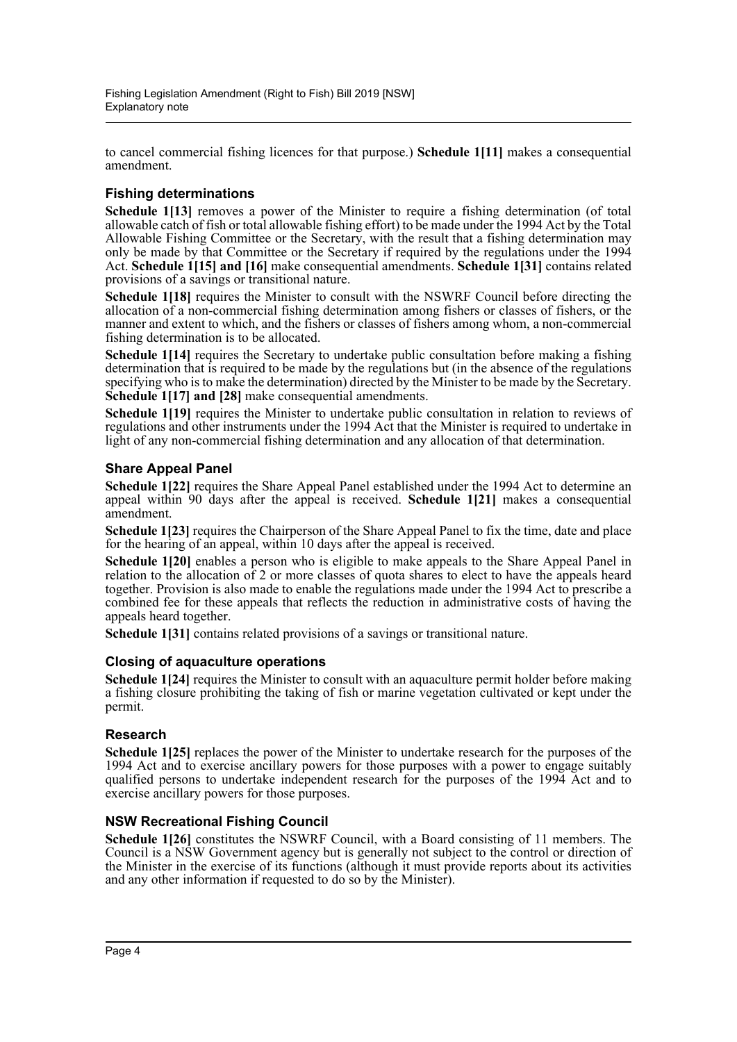to cancel commercial fishing licences for that purpose.) **Schedule 1[11]** makes a consequential amendment.

## **Fishing determinations**

**Schedule 1[13]** removes a power of the Minister to require a fishing determination (of total allowable catch of fish or total allowable fishing effort) to be made under the 1994 Act by the Total Allowable Fishing Committee or the Secretary, with the result that a fishing determination may only be made by that Committee or the Secretary if required by the regulations under the 1994 Act. **Schedule 1[15] and [16]** make consequential amendments. **Schedule 1[31]** contains related provisions of a savings or transitional nature.

**Schedule 1[18]** requires the Minister to consult with the NSWRF Council before directing the allocation of a non-commercial fishing determination among fishers or classes of fishers, or the manner and extent to which, and the fishers or classes of fishers among whom, a non-commercial fishing determination is to be allocated.

**Schedule 1[14]** requires the Secretary to undertake public consultation before making a fishing determination that is required to be made by the regulations but (in the absence of the regulations specifying who is to make the determination) directed by the Minister to be made by the Secretary. **Schedule 1[17] and [28]** make consequential amendments.

**Schedule 1[19]** requires the Minister to undertake public consultation in relation to reviews of regulations and other instruments under the 1994 Act that the Minister is required to undertake in light of any non-commercial fishing determination and any allocation of that determination.

## **Share Appeal Panel**

**Schedule 1[22]** requires the Share Appeal Panel established under the 1994 Act to determine an appeal within 90 days after the appeal is received. **Schedule 1[21]** makes a consequential amendment.

**Schedule 1[23]** requires the Chairperson of the Share Appeal Panel to fix the time, date and place for the hearing of an appeal, within 10 days after the appeal is received.

**Schedule 1[20]** enables a person who is eligible to make appeals to the Share Appeal Panel in relation to the allocation of 2 or more classes of quota shares to elect to have the appeals heard together. Provision is also made to enable the regulations made under the 1994 Act to prescribe a combined fee for these appeals that reflects the reduction in administrative costs of having the appeals heard together.

**Schedule 1[31]** contains related provisions of a savings or transitional nature.

## **Closing of aquaculture operations**

**Schedule 1[24]** requires the Minister to consult with an aquaculture permit holder before making a fishing closure prohibiting the taking of fish or marine vegetation cultivated or kept under the permit.

## **Research**

**Schedule 1[25]** replaces the power of the Minister to undertake research for the purposes of the 1994 Act and to exercise ancillary powers for those purposes with a power to engage suitably qualified persons to undertake independent research for the purposes of the 1994 Act and to exercise ancillary powers for those purposes.

## **NSW Recreational Fishing Council**

**Schedule 1[26]** constitutes the NSWRF Council, with a Board consisting of 11 members. The Council is a NSW Government agency but is generally not subject to the control or direction of the Minister in the exercise of its functions (although it must provide reports about its activities and any other information if requested to do so by the Minister).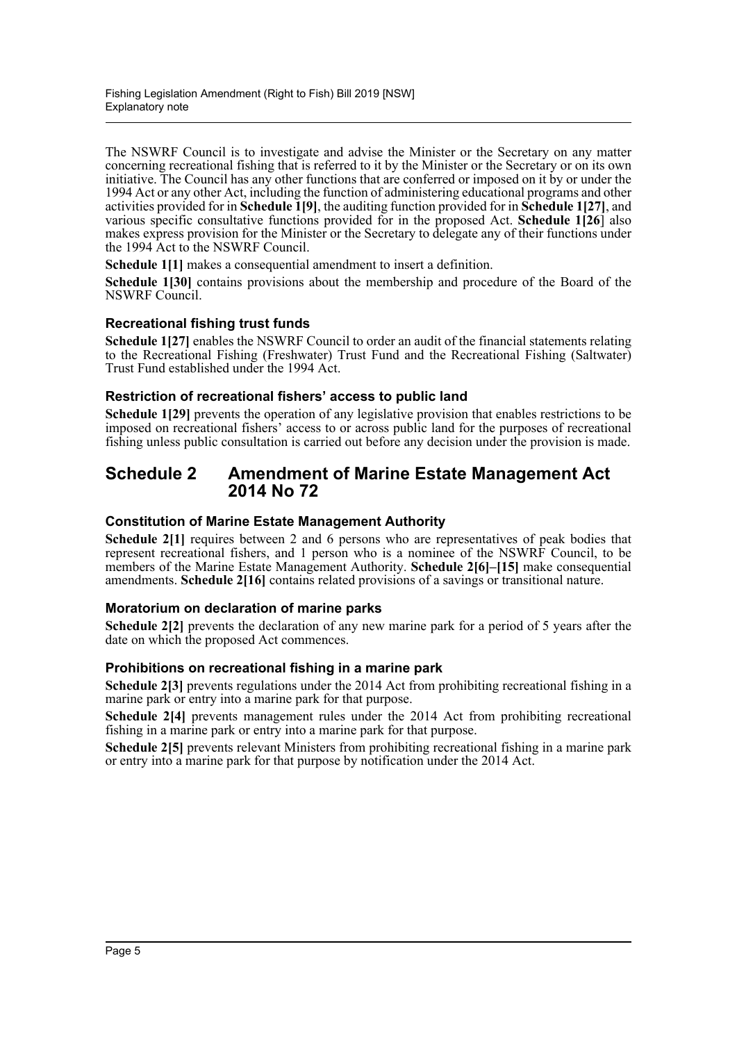The NSWRF Council is to investigate and advise the Minister or the Secretary on any matter concerning recreational fishing that is referred to it by the Minister or the Secretary or on its own initiative. The Council has any other functions that are conferred or imposed on it by or under the 1994 Act or any other Act, including the function of administering educational programs and other activities provided for in **Schedule 1[9]**, the auditing function provided for in **Schedule 1[27]**, and various specific consultative functions provided for in the proposed Act. **Schedule 1[26**] also makes express provision for the Minister or the Secretary to delegate any of their functions under the 1994 Act to the NSWRF Council.

**Schedule 1[1]** makes a consequential amendment to insert a definition.

**Schedule 1[30]** contains provisions about the membership and procedure of the Board of the NSWRF Council.

## **Recreational fishing trust funds**

**Schedule 1[27]** enables the NSWRF Council to order an audit of the financial statements relating to the Recreational Fishing (Freshwater) Trust Fund and the Recreational Fishing (Saltwater) Trust Fund established under the 1994 Act.

## **Restriction of recreational fishers' access to public land**

**Schedule 1[29]** prevents the operation of any legislative provision that enables restrictions to be imposed on recreational fishers' access to or across public land for the purposes of recreational fishing unless public consultation is carried out before any decision under the provision is made.

## **Schedule 2 Amendment of Marine Estate Management Act 2014 No 72**

## **Constitution of Marine Estate Management Authority**

**Schedule 2[1]** requires between 2 and 6 persons who are representatives of peak bodies that represent recreational fishers, and 1 person who is a nominee of the NSWRF Council, to be members of the Marine Estate Management Authority. **Schedule 2[6]–[15]** make consequential amendments. **Schedule 2[16]** contains related provisions of a savings or transitional nature.

## **Moratorium on declaration of marine parks**

**Schedule 2[2]** prevents the declaration of any new marine park for a period of 5 years after the date on which the proposed Act commences.

## **Prohibitions on recreational fishing in a marine park**

**Schedule 2[3]** prevents regulations under the 2014 Act from prohibiting recreational fishing in a marine park or entry into a marine park for that purpose.

**Schedule 2[4]** prevents management rules under the 2014 Act from prohibiting recreational fishing in a marine park or entry into a marine park for that purpose.

**Schedule 2[5]** prevents relevant Ministers from prohibiting recreational fishing in a marine park or entry into a marine park for that purpose by notification under the 2014 Act.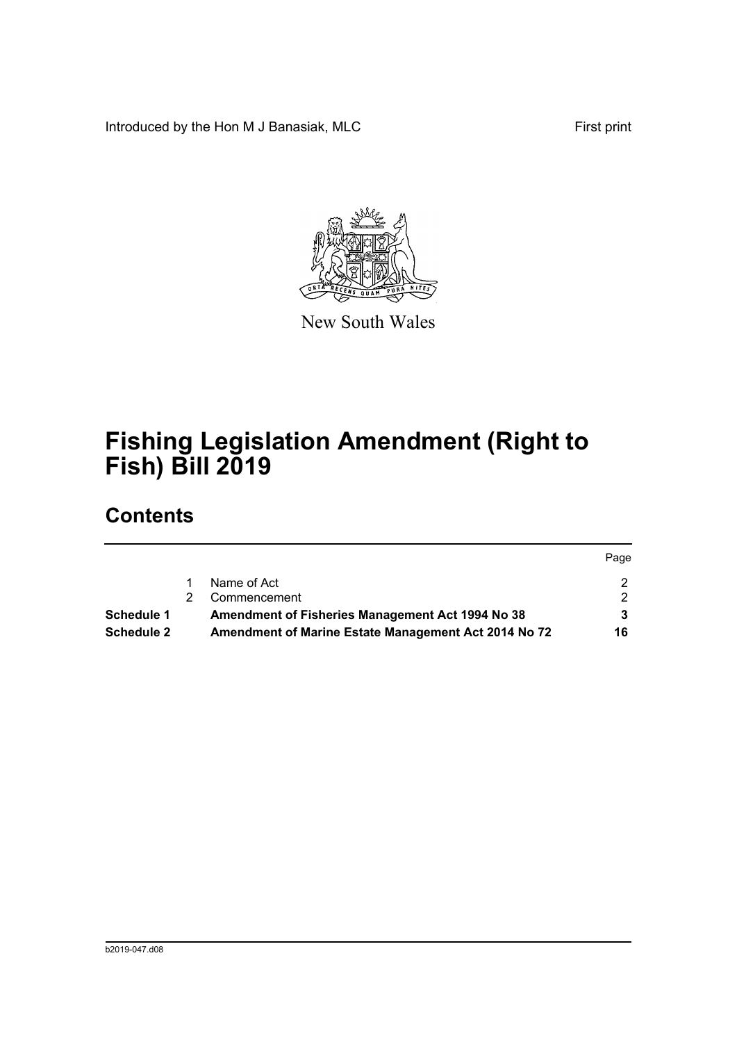Introduced by the Hon M J Banasiak, MLC First print

Page



New South Wales

# **Fishing Legislation Amendment (Right to Fish) Bill 2019**

## **Contents**

|                   |                                                      | <b>rage</b> |
|-------------------|------------------------------------------------------|-------------|
|                   | Name of Act                                          |             |
|                   | Commencement                                         |             |
| Schedule 1        | Amendment of Fisheries Management Act 1994 No 38     |             |
| <b>Schedule 2</b> | Amendment of Marine Estate Management Act 2014 No 72 | 16          |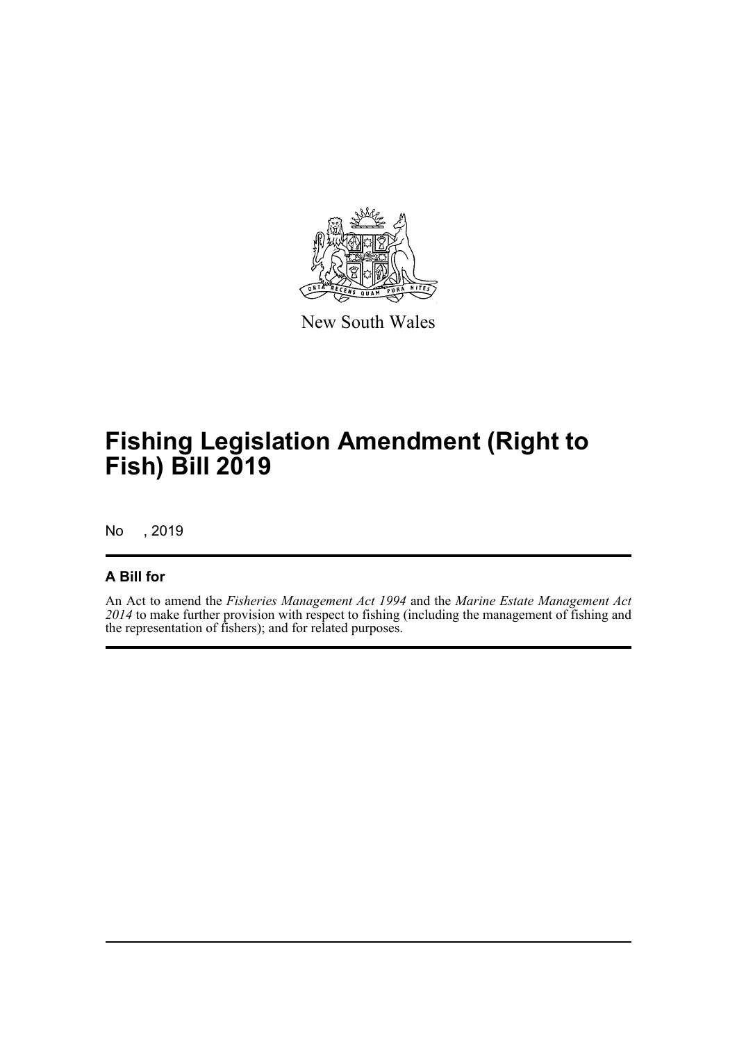

New South Wales

# **Fishing Legislation Amendment (Right to Fish) Bill 2019**

No , 2019

## **A Bill for**

An Act to amend the *Fisheries Management Act 1994* and the *Marine Estate Management Act 2014* to make further provision with respect to fishing (including the management of fishing and the representation of fishers); and for related purposes.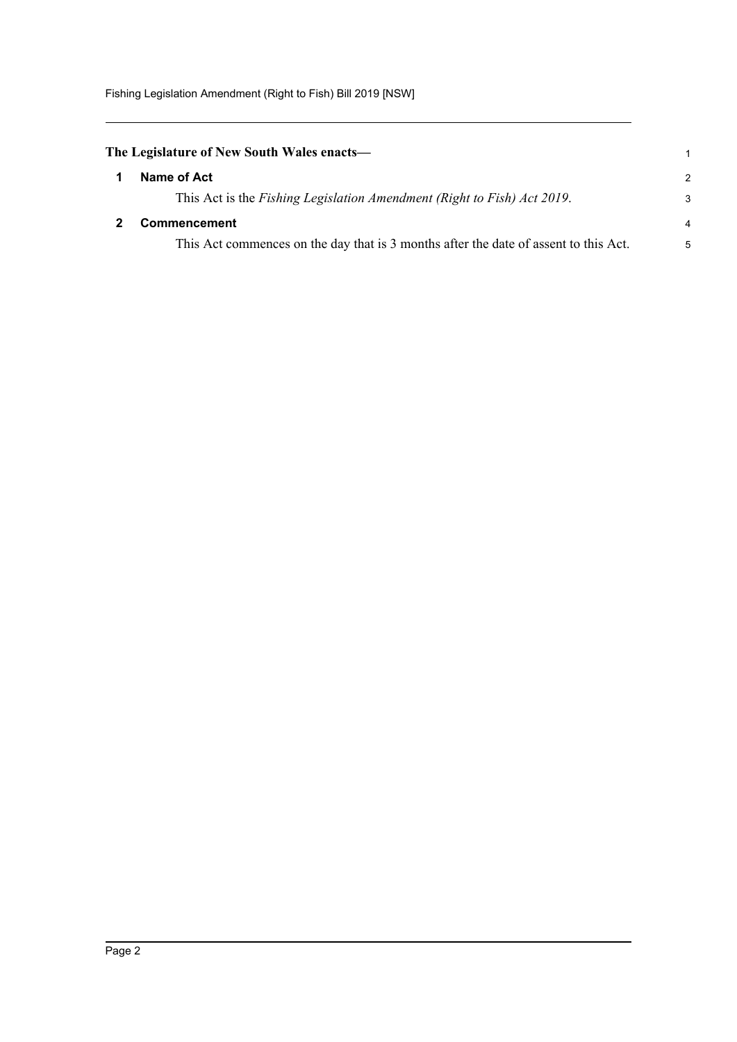Fishing Legislation Amendment (Right to Fish) Bill 2019 [NSW]

<span id="page-7-1"></span><span id="page-7-0"></span>

| The Legislature of New South Wales enacts—                                           |                |
|--------------------------------------------------------------------------------------|----------------|
| Name of Act                                                                          | 2              |
| This Act is the Fishing Legislation Amendment (Right to Fish) Act 2019.              | 3              |
| <b>Commencement</b>                                                                  | $\overline{4}$ |
| This Act commences on the day that is 3 months after the date of assent to this Act. | 5              |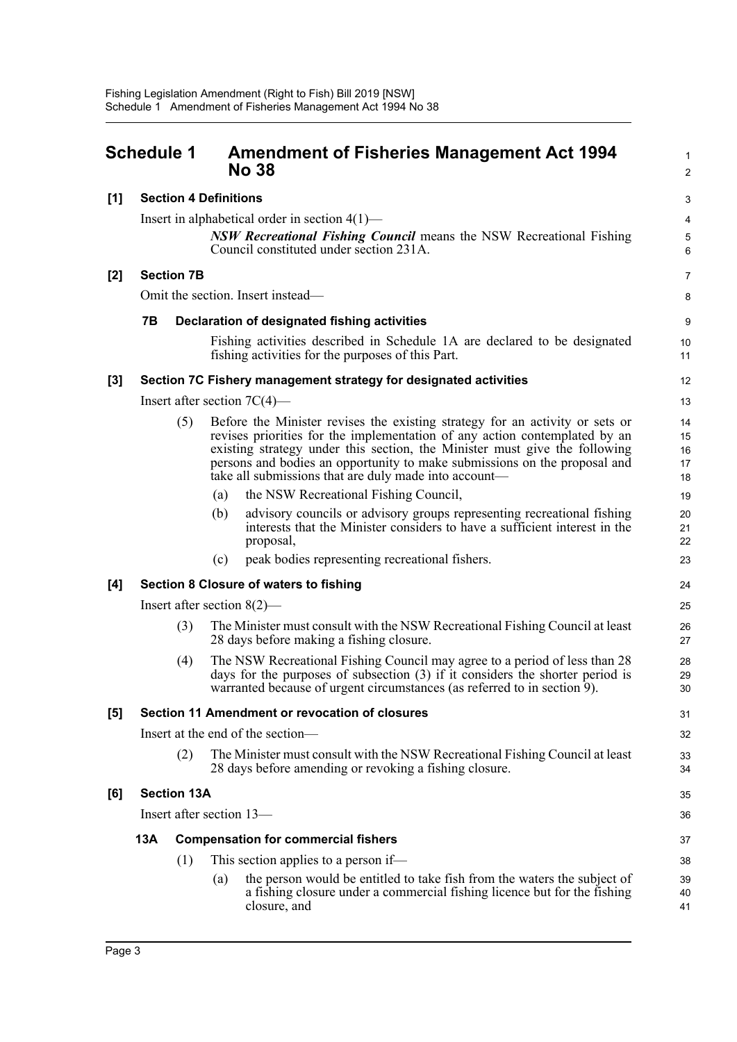<span id="page-8-0"></span>

|       | <b>Schedule 1</b> |                              |     | <b>Amendment of Fisheries Management Act 1994</b><br><b>No 38</b>                                                                                                                                                                                                                                                                                                              | $\mathbf{1}$<br>$\overline{2}$ |
|-------|-------------------|------------------------------|-----|--------------------------------------------------------------------------------------------------------------------------------------------------------------------------------------------------------------------------------------------------------------------------------------------------------------------------------------------------------------------------------|--------------------------------|
| [1]   |                   | <b>Section 4 Definitions</b> |     |                                                                                                                                                                                                                                                                                                                                                                                | 3                              |
|       |                   |                              |     | Insert in alphabetical order in section $4(1)$ —                                                                                                                                                                                                                                                                                                                               | 4                              |
|       |                   |                              |     | <b>NSW Recreational Fishing Council</b> means the NSW Recreational Fishing<br>Council constituted under section 231A.                                                                                                                                                                                                                                                          | $\mathbf 5$<br>6               |
| $[2]$ |                   | <b>Section 7B</b>            |     |                                                                                                                                                                                                                                                                                                                                                                                | $\overline{7}$                 |
|       |                   |                              |     | Omit the section. Insert instead—                                                                                                                                                                                                                                                                                                                                              | 8                              |
|       | 7В                |                              |     | Declaration of designated fishing activities                                                                                                                                                                                                                                                                                                                                   | $\boldsymbol{9}$               |
|       |                   |                              |     | Fishing activities described in Schedule 1A are declared to be designated<br>fishing activities for the purposes of this Part.                                                                                                                                                                                                                                                 | 10<br>11                       |
| [3]   |                   |                              |     | Section 7C Fishery management strategy for designated activities                                                                                                                                                                                                                                                                                                               | 12                             |
|       |                   |                              |     | Insert after section $7C(4)$ —                                                                                                                                                                                                                                                                                                                                                 | 13                             |
|       |                   | (5)                          |     | Before the Minister revises the existing strategy for an activity or sets or<br>revises priorities for the implementation of any action contemplated by an<br>existing strategy under this section, the Minister must give the following<br>persons and bodies an opportunity to make submissions on the proposal and<br>take all submissions that are duly made into account— | 14<br>15<br>16<br>17<br>18     |
|       |                   |                              | (a) | the NSW Recreational Fishing Council,                                                                                                                                                                                                                                                                                                                                          | 19                             |
|       |                   |                              | (b) | advisory councils or advisory groups representing recreational fishing<br>interests that the Minister considers to have a sufficient interest in the<br>proposal,                                                                                                                                                                                                              | 20<br>21<br>22                 |
|       |                   |                              | (c) | peak bodies representing recreational fishers.                                                                                                                                                                                                                                                                                                                                 | 23                             |
| [4]   |                   |                              |     | <b>Section 8 Closure of waters to fishing</b>                                                                                                                                                                                                                                                                                                                                  | 24                             |
|       |                   |                              |     | Insert after section $8(2)$ —                                                                                                                                                                                                                                                                                                                                                  | 25                             |
|       |                   | (3)                          |     | The Minister must consult with the NSW Recreational Fishing Council at least<br>28 days before making a fishing closure.                                                                                                                                                                                                                                                       | 26<br>27                       |
|       |                   | (4)                          |     | The NSW Recreational Fishing Council may agree to a period of less than 28<br>days for the purposes of subsection (3) if it considers the shorter period is<br>warranted because of urgent circumstances (as referred to in section 9).                                                                                                                                        | 28<br>29<br>30                 |
| [5]   |                   |                              |     | Section 11 Amendment or revocation of closures                                                                                                                                                                                                                                                                                                                                 | 31                             |
|       |                   |                              |     | Insert at the end of the section-                                                                                                                                                                                                                                                                                                                                              | 32                             |
|       |                   | (2)                          |     | The Minister must consult with the NSW Recreational Fishing Council at least<br>28 days before amending or revoking a fishing closure.                                                                                                                                                                                                                                         | 33<br>34                       |
| [6]   |                   | <b>Section 13A</b>           |     |                                                                                                                                                                                                                                                                                                                                                                                | 35                             |
|       |                   |                              |     | Insert after section 13—                                                                                                                                                                                                                                                                                                                                                       | 36                             |
|       | 13A               |                              |     | <b>Compensation for commercial fishers</b>                                                                                                                                                                                                                                                                                                                                     | 37                             |
|       |                   | (1)                          |     | This section applies to a person if—                                                                                                                                                                                                                                                                                                                                           | 38                             |
|       |                   |                              | (a) | the person would be entitled to take fish from the waters the subject of<br>a fishing closure under a commercial fishing licence but for the fishing<br>closure, and                                                                                                                                                                                                           | 39<br>40<br>41                 |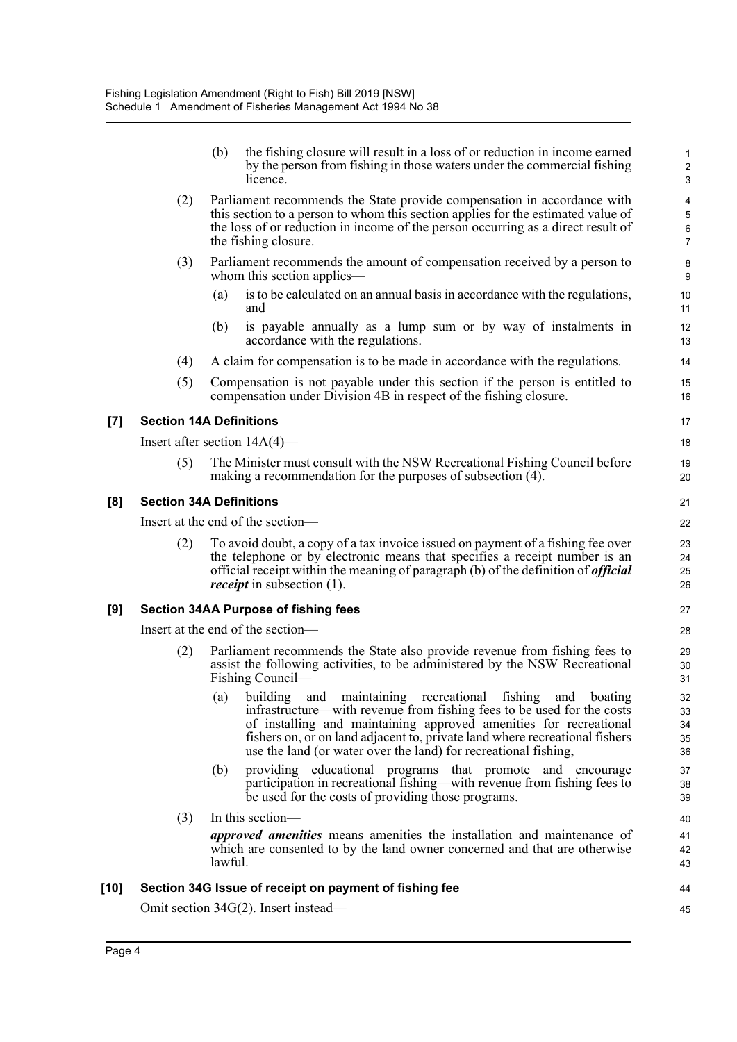|        |                                 | (b)     | the fishing closure will result in a loss of or reduction in income earned<br>by the person from fishing in those waters under the commercial fishing<br>licence.                                                                                                                                                                                              | 2<br>Ĉ                            |
|--------|---------------------------------|---------|----------------------------------------------------------------------------------------------------------------------------------------------------------------------------------------------------------------------------------------------------------------------------------------------------------------------------------------------------------------|-----------------------------------|
|        | (2)                             |         | Parliament recommends the State provide compensation in accordance with<br>this section to a person to whom this section applies for the estimated value of<br>the loss of or reduction in income of the person occurring as a direct result of<br>the fishing closure.                                                                                        | 4<br>$\epsilon$<br>$\overline{7}$ |
|        | (3)                             |         | Parliament recommends the amount of compensation received by a person to<br>whom this section applies—                                                                                                                                                                                                                                                         | ε<br>ς                            |
|        |                                 | (a)     | is to be calculated on an annual basis in accordance with the regulations,<br>and                                                                                                                                                                                                                                                                              | 10<br>11                          |
|        |                                 | (b)     | is payable annually as a lump sum or by way of instalments in<br>accordance with the regulations.                                                                                                                                                                                                                                                              | 12<br>13                          |
|        | (4)                             |         | A claim for compensation is to be made in accordance with the regulations.                                                                                                                                                                                                                                                                                     | 14                                |
|        | (5)                             |         | Compensation is not payable under this section if the person is entitled to<br>compensation under Division 4B in respect of the fishing closure.                                                                                                                                                                                                               | 15<br>16                          |
| $[7]$  | <b>Section 14A Definitions</b>  |         |                                                                                                                                                                                                                                                                                                                                                                | 17                                |
|        | Insert after section $14A(4)$ — |         |                                                                                                                                                                                                                                                                                                                                                                | 18                                |
|        | (5)                             |         | The Minister must consult with the NSW Recreational Fishing Council before<br>making a recommendation for the purposes of subsection (4).                                                                                                                                                                                                                      | 19<br>20                          |
| [8]    | <b>Section 34A Definitions</b>  |         |                                                                                                                                                                                                                                                                                                                                                                | 21                                |
|        |                                 |         | Insert at the end of the section-                                                                                                                                                                                                                                                                                                                              | 22                                |
|        | (2)                             |         | To avoid doubt, a copy of a tax invoice issued on payment of a fishing fee over<br>the telephone or by electronic means that specifies a receipt number is an<br>official receipt within the meaning of paragraph (b) of the definition of <i>official</i><br><i>receipt</i> in subsection (1).                                                                | 23<br>24<br>25<br>26              |
| [9]    |                                 |         | <b>Section 34AA Purpose of fishing fees</b>                                                                                                                                                                                                                                                                                                                    | 27                                |
|        |                                 |         | Insert at the end of the section-                                                                                                                                                                                                                                                                                                                              | 28                                |
|        | (2)                             |         | Parliament recommends the State also provide revenue from fishing fees to<br>assist the following activities, to be administered by the NSW Recreational<br>Fishing Council—                                                                                                                                                                                   | 29<br>3 <sub>C</sub><br>31        |
|        |                                 |         | (a) building and maintaining recreational fishing and boating<br>infrastructure—with revenue from fishing fees to be used for the costs<br>of installing and maintaining approved amenities for recreational<br>fishers on, or on land adjacent to, private land where recreational fishers<br>use the land (or water over the land) for recreational fishing, | 32<br>33<br>34<br>35<br>36        |
|        |                                 | (b)     | providing educational programs that promote and encourage<br>participation in recreational fishing—with revenue from fishing fees to<br>be used for the costs of providing those programs.                                                                                                                                                                     | 37<br>38<br>39                    |
|        | (3)                             |         | In this section-                                                                                                                                                                                                                                                                                                                                               | 40                                |
|        |                                 | lawful. | <i>approved amenities</i> means amenities the installation and maintenance of<br>which are consented to by the land owner concerned and that are otherwise                                                                                                                                                                                                     | 41<br>42<br>43                    |
| $[10]$ |                                 |         | Section 34G Issue of receipt on payment of fishing fee                                                                                                                                                                                                                                                                                                         | 44                                |
|        |                                 |         | Omit section 34G(2). Insert instead—                                                                                                                                                                                                                                                                                                                           | 45                                |
|        |                                 |         |                                                                                                                                                                                                                                                                                                                                                                |                                   |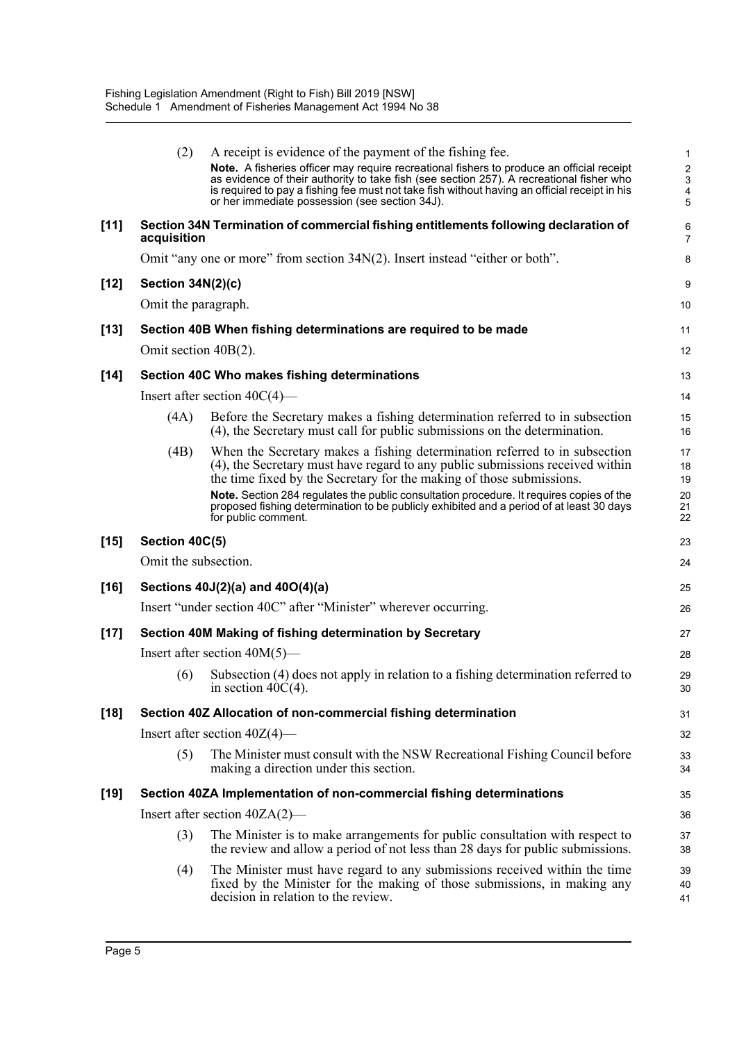|        | (2)                     | A receipt is evidence of the payment of the fishing fee.                                                                                                                                                                                                                                                                                 | 1                               |  |  |  |  |
|--------|-------------------------|------------------------------------------------------------------------------------------------------------------------------------------------------------------------------------------------------------------------------------------------------------------------------------------------------------------------------------------|---------------------------------|--|--|--|--|
|        |                         | Note. A fisheries officer may require recreational fishers to produce an official receipt<br>as evidence of their authority to take fish (see section 257). A recreational fisher who<br>is required to pay a fishing fee must not take fish without having an official receipt in his<br>or her immediate possession (see section 34J). | $\boldsymbol{2}$<br>3<br>4<br>5 |  |  |  |  |
| $[11]$ | acquisition             | Section 34N Termination of commercial fishing entitlements following declaration of                                                                                                                                                                                                                                                      | 6<br>$\overline{7}$             |  |  |  |  |
|        |                         | Omit "any one or more" from section $34N(2)$ . Insert instead "either or both".                                                                                                                                                                                                                                                          | 8                               |  |  |  |  |
| $[12]$ | Section 34N(2)(c)       |                                                                                                                                                                                                                                                                                                                                          | 9                               |  |  |  |  |
|        | Omit the paragraph.     |                                                                                                                                                                                                                                                                                                                                          |                                 |  |  |  |  |
| $[13]$ |                         | Section 40B When fishing determinations are required to be made                                                                                                                                                                                                                                                                          | 11                              |  |  |  |  |
|        | Omit section $40B(2)$ . |                                                                                                                                                                                                                                                                                                                                          | 12                              |  |  |  |  |
| $[14]$ |                         | Section 40C Who makes fishing determinations                                                                                                                                                                                                                                                                                             | 13                              |  |  |  |  |
|        |                         | Insert after section $40C(4)$ —                                                                                                                                                                                                                                                                                                          | 14                              |  |  |  |  |
|        | (4A)                    | Before the Secretary makes a fishing determination referred to in subsection<br>(4), the Secretary must call for public submissions on the determination.                                                                                                                                                                                | 15<br>16                        |  |  |  |  |
|        | (4B)                    | When the Secretary makes a fishing determination referred to in subsection<br>(4), the Secretary must have regard to any public submissions received within<br>the time fixed by the Secretary for the making of those submissions.                                                                                                      | 17<br>18<br>19                  |  |  |  |  |
|        |                         | Note. Section 284 regulates the public consultation procedure. It requires copies of the<br>proposed fishing determination to be publicly exhibited and a period of at least 30 days<br>for public comment.                                                                                                                              | 20<br>21<br>22                  |  |  |  |  |
| $[15]$ | Section 40C(5)          |                                                                                                                                                                                                                                                                                                                                          | 23                              |  |  |  |  |
|        | Omit the subsection.    |                                                                                                                                                                                                                                                                                                                                          | 24                              |  |  |  |  |
| $[16]$ |                         | Sections 40J(2)(a) and 40O(4)(a)                                                                                                                                                                                                                                                                                                         | 25                              |  |  |  |  |
|        |                         | Insert "under section 40C" after "Minister" wherever occurring.                                                                                                                                                                                                                                                                          | 26                              |  |  |  |  |
| $[17]$ |                         | Section 40M Making of fishing determination by Secretary                                                                                                                                                                                                                                                                                 | 27                              |  |  |  |  |
|        |                         | Insert after section $40M(5)$ —                                                                                                                                                                                                                                                                                                          | 28                              |  |  |  |  |
|        | (6)                     | Subsection (4) does not apply in relation to a fishing determination referred to<br>in section $40C(4)$ .                                                                                                                                                                                                                                | 29<br>30                        |  |  |  |  |
| $[18]$ |                         | Section 40Z Allocation of non-commercial fishing determination                                                                                                                                                                                                                                                                           | 31                              |  |  |  |  |
|        |                         | Insert after section $40Z(4)$ —                                                                                                                                                                                                                                                                                                          | 32                              |  |  |  |  |
|        | (5)                     | The Minister must consult with the NSW Recreational Fishing Council before<br>making a direction under this section.                                                                                                                                                                                                                     | 33<br>34                        |  |  |  |  |
| $[19]$ |                         | Section 40ZA Implementation of non-commercial fishing determinations                                                                                                                                                                                                                                                                     | 35                              |  |  |  |  |
|        |                         | Insert after section $40ZA(2)$ —                                                                                                                                                                                                                                                                                                         | 36                              |  |  |  |  |
|        | (3)                     | The Minister is to make arrangements for public consultation with respect to<br>the review and allow a period of not less than 28 days for public submissions.                                                                                                                                                                           | 37<br>38                        |  |  |  |  |
|        | (4)                     | The Minister must have regard to any submissions received within the time<br>fixed by the Minister for the making of those submissions, in making any<br>decision in relation to the review.                                                                                                                                             | 39<br>40<br>41                  |  |  |  |  |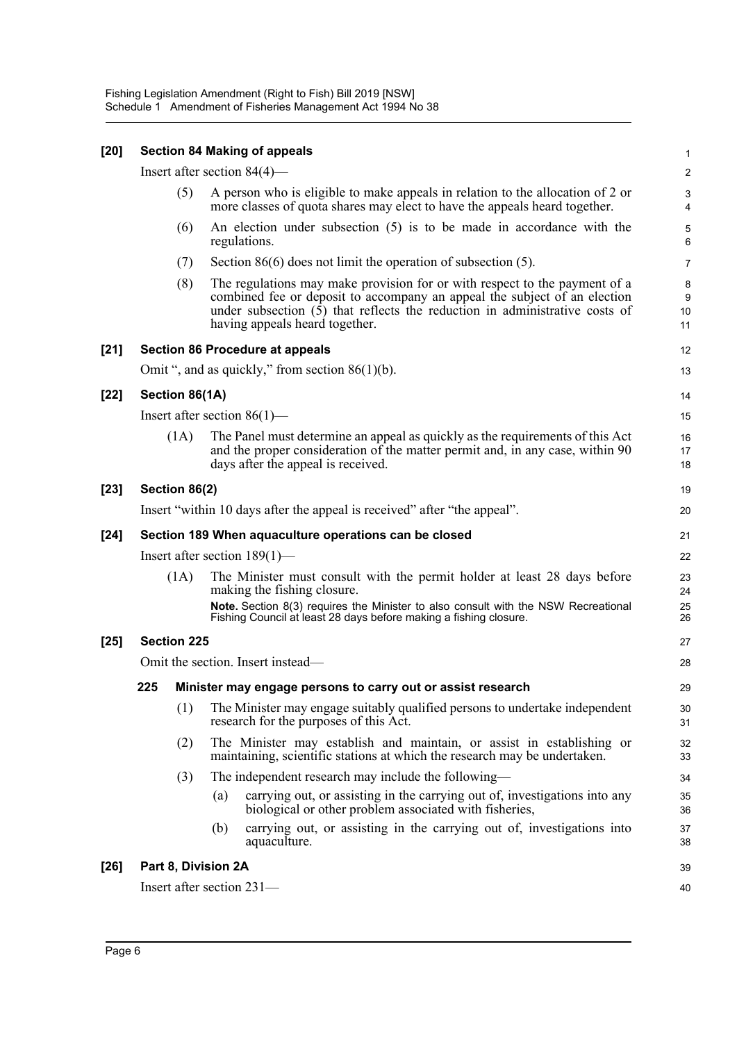| $[20]$ |                                         |                     |     | <b>Section 84 Making of appeals</b>                                                                                                                                                                                                                                        | $\mathbf{1}$                                |  |
|--------|-----------------------------------------|---------------------|-----|----------------------------------------------------------------------------------------------------------------------------------------------------------------------------------------------------------------------------------------------------------------------------|---------------------------------------------|--|
|        |                                         |                     |     | Insert after section $84(4)$ —                                                                                                                                                                                                                                             | $\boldsymbol{2}$                            |  |
|        |                                         | (5)                 |     | A person who is eligible to make appeals in relation to the allocation of 2 or<br>more classes of quota shares may elect to have the appeals heard together.                                                                                                               | $\ensuremath{\mathsf{3}}$<br>$\overline{4}$ |  |
|        |                                         | (6)                 |     | An election under subsection $(5)$ is to be made in accordance with the<br>regulations.                                                                                                                                                                                    | $\sqrt{5}$<br>6                             |  |
|        |                                         | (7)                 |     | Section $86(6)$ does not limit the operation of subsection $(5)$ .                                                                                                                                                                                                         | $\overline{7}$                              |  |
|        |                                         | (8)                 |     | The regulations may make provision for or with respect to the payment of a<br>combined fee or deposit to accompany an appeal the subject of an election<br>under subsection $(5)$ that reflects the reduction in administrative costs of<br>having appeals heard together. | 8<br>9<br>10<br>11                          |  |
| $[21]$ |                                         |                     |     | <b>Section 86 Procedure at appeals</b>                                                                                                                                                                                                                                     | 12                                          |  |
|        |                                         |                     |     | Omit ", and as quickly," from section $86(1)(b)$ .                                                                                                                                                                                                                         | 13                                          |  |
| $[22]$ |                                         | Section 86(1A)      |     |                                                                                                                                                                                                                                                                            | 14                                          |  |
|        |                                         |                     |     | Insert after section $86(1)$ —                                                                                                                                                                                                                                             | 15                                          |  |
|        |                                         | (1A)                |     | The Panel must determine an appeal as quickly as the requirements of this Act<br>and the proper consideration of the matter permit and, in any case, within 90<br>days after the appeal is received.                                                                       | 16<br>17<br>18                              |  |
| $[23]$ |                                         | Section 86(2)       |     |                                                                                                                                                                                                                                                                            | 19                                          |  |
|        |                                         |                     |     | Insert "within 10 days after the appeal is received" after "the appeal".                                                                                                                                                                                                   | 20                                          |  |
| $[24]$ |                                         |                     |     | Section 189 When aquaculture operations can be closed                                                                                                                                                                                                                      | 21                                          |  |
|        |                                         |                     |     | Insert after section $189(1)$ —                                                                                                                                                                                                                                            | 22                                          |  |
|        |                                         | (1A)                |     | The Minister must consult with the permit holder at least 28 days before<br>making the fishing closure.                                                                                                                                                                    | 23<br>24                                    |  |
|        |                                         |                     |     | Note. Section 8(3) requires the Minister to also consult with the NSW Recreational<br>Fishing Council at least 28 days before making a fishing closure.                                                                                                                    | 25<br>26                                    |  |
| $[25]$ | <b>Section 225</b>                      |                     |     |                                                                                                                                                                                                                                                                            |                                             |  |
|        | Omit the section. Insert instead—<br>28 |                     |     |                                                                                                                                                                                                                                                                            |                                             |  |
|        | 225                                     |                     |     | Minister may engage persons to carry out or assist research                                                                                                                                                                                                                | 29                                          |  |
|        |                                         | (1)                 |     | The Minister may engage suitably qualified persons to undertake independent<br>research for the purposes of this Act.                                                                                                                                                      | 30<br>31                                    |  |
|        |                                         | (2)                 |     | The Minister may establish and maintain, or assist in establishing or<br>maintaining, scientific stations at which the research may be undertaken.                                                                                                                         | 32<br>33                                    |  |
|        |                                         | (3)                 |     | The independent research may include the following—                                                                                                                                                                                                                        | 34                                          |  |
|        |                                         |                     | (a) | carrying out, or assisting in the carrying out of, investigations into any<br>biological or other problem associated with fisheries,                                                                                                                                       | 35<br>36                                    |  |
|        |                                         |                     | (b) | carrying out, or assisting in the carrying out of, investigations into<br>aquaculture.                                                                                                                                                                                     | 37<br>38                                    |  |
| $[26]$ |                                         | Part 8, Division 2A |     |                                                                                                                                                                                                                                                                            | 39                                          |  |
|        |                                         |                     |     | Insert after section 231-                                                                                                                                                                                                                                                  | 40                                          |  |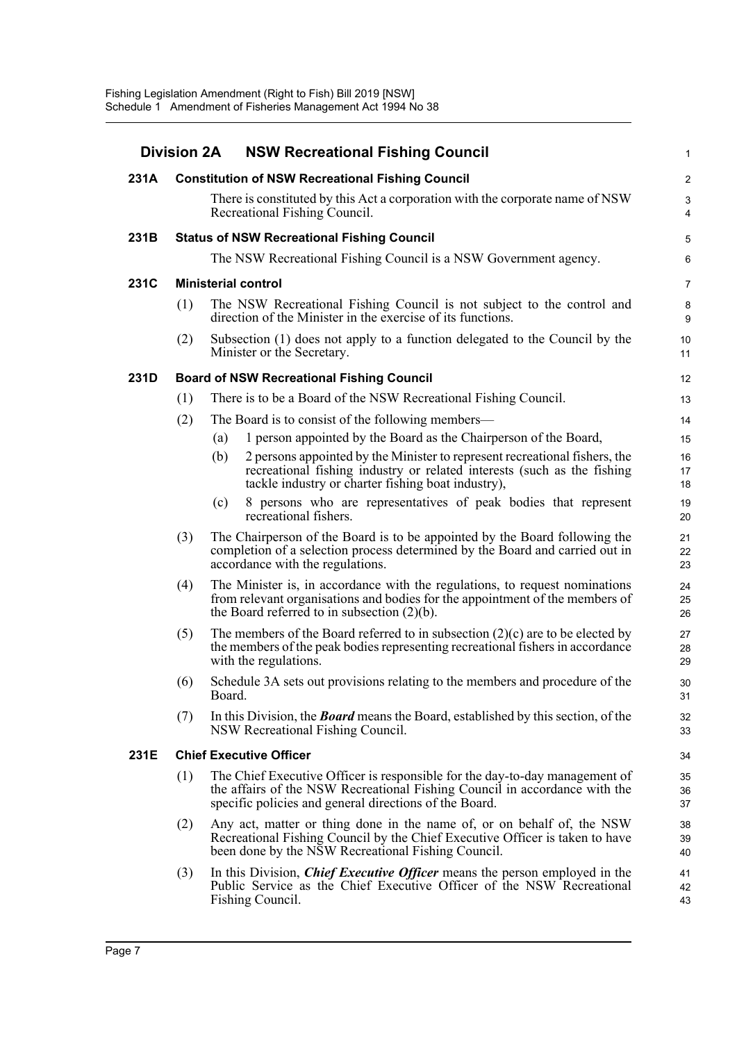| <b>Division 2A</b> |                                                   |                                                                                                                | <b>NSW Recreational Fishing Council</b>                                                                                                                                                                             |                      |  |  |  |  |
|--------------------|---------------------------------------------------|----------------------------------------------------------------------------------------------------------------|---------------------------------------------------------------------------------------------------------------------------------------------------------------------------------------------------------------------|----------------------|--|--|--|--|
| 231A               |                                                   |                                                                                                                | <b>Constitution of NSW Recreational Fishing Council</b>                                                                                                                                                             | 2                    |  |  |  |  |
|                    |                                                   | There is constituted by this Act a corporation with the corporate name of NSW<br>Recreational Fishing Council. |                                                                                                                                                                                                                     |                      |  |  |  |  |
| 231B               | <b>Status of NSW Recreational Fishing Council</b> |                                                                                                                |                                                                                                                                                                                                                     |                      |  |  |  |  |
|                    |                                                   |                                                                                                                | The NSW Recreational Fishing Council is a NSW Government agency.                                                                                                                                                    | Е                    |  |  |  |  |
| 231C               |                                                   |                                                                                                                | <b>Ministerial control</b>                                                                                                                                                                                          | 7                    |  |  |  |  |
|                    | (1)                                               |                                                                                                                | The NSW Recreational Fishing Council is not subject to the control and<br>direction of the Minister in the exercise of its functions.                                                                               | ε<br>ç               |  |  |  |  |
|                    | (2)                                               |                                                                                                                | Subsection (1) does not apply to a function delegated to the Council by the<br>Minister or the Secretary.                                                                                                           | 1 <sup>C</sup><br>11 |  |  |  |  |
| 231D               |                                                   |                                                                                                                | <b>Board of NSW Recreational Fishing Council</b>                                                                                                                                                                    | 12                   |  |  |  |  |
|                    | (1)                                               |                                                                                                                | There is to be a Board of the NSW Recreational Fishing Council.                                                                                                                                                     | 13                   |  |  |  |  |
|                    | (2)                                               |                                                                                                                | The Board is to consist of the following members—                                                                                                                                                                   | 14                   |  |  |  |  |
|                    |                                                   | (a)                                                                                                            | 1 person appointed by the Board as the Chairperson of the Board,                                                                                                                                                    | 15                   |  |  |  |  |
|                    |                                                   | (b)                                                                                                            | 2 persons appointed by the Minister to represent recreational fishers, the<br>recreational fishing industry or related interests (such as the fishing<br>tackle industry or charter fishing boat industry),         | 16<br>17<br>18       |  |  |  |  |
|                    |                                                   | (c)                                                                                                            | 8 persons who are representatives of peak bodies that represent<br>recreational fishers.                                                                                                                            | 19<br>20             |  |  |  |  |
|                    | (3)                                               |                                                                                                                | The Chairperson of the Board is to be appointed by the Board following the<br>completion of a selection process determined by the Board and carried out in<br>accordance with the regulations.                      | 21<br>22<br>23       |  |  |  |  |
|                    | (4)                                               |                                                                                                                | The Minister is, in accordance with the regulations, to request nominations<br>from relevant organisations and bodies for the appointment of the members of<br>the Board referred to in subsection $(2)(b)$ .       | 24<br>25<br>26       |  |  |  |  |
|                    | (5)                                               |                                                                                                                | The members of the Board referred to in subsection $(2)(c)$ are to be elected by<br>the members of the peak bodies representing recreational fishers in accordance<br>with the regulations.                         | 27<br>28<br>29       |  |  |  |  |
|                    | (6)                                               | Board.                                                                                                         | Schedule 3A sets out provisions relating to the members and procedure of the                                                                                                                                        | 3 <sub>C</sub><br>31 |  |  |  |  |
|                    | (7)                                               |                                                                                                                | In this Division, the <b>Board</b> means the Board, established by this section, of the<br>NSW Recreational Fishing Council.                                                                                        | 32<br>33             |  |  |  |  |
| 231E               |                                                   |                                                                                                                | <b>Chief Executive Officer</b>                                                                                                                                                                                      | 34                   |  |  |  |  |
|                    | (1)                                               |                                                                                                                | The Chief Executive Officer is responsible for the day-to-day management of<br>the affairs of the NSW Recreational Fishing Council in accordance with the<br>specific policies and general directions of the Board. | 35<br>36<br>37       |  |  |  |  |
|                    | (2)                                               |                                                                                                                | Any act, matter or thing done in the name of, or on behalf of, the NSW<br>Recreational Fishing Council by the Chief Executive Officer is taken to have<br>been done by the NSW Recreational Fishing Council.        | 38<br>39<br>40       |  |  |  |  |
|                    | (3)                                               |                                                                                                                | In this Division, <i>Chief Executive Officer</i> means the person employed in the<br>Public Service as the Chief Executive Officer of the NSW Recreational<br>Fishing Council.                                      | 41<br>42<br>43       |  |  |  |  |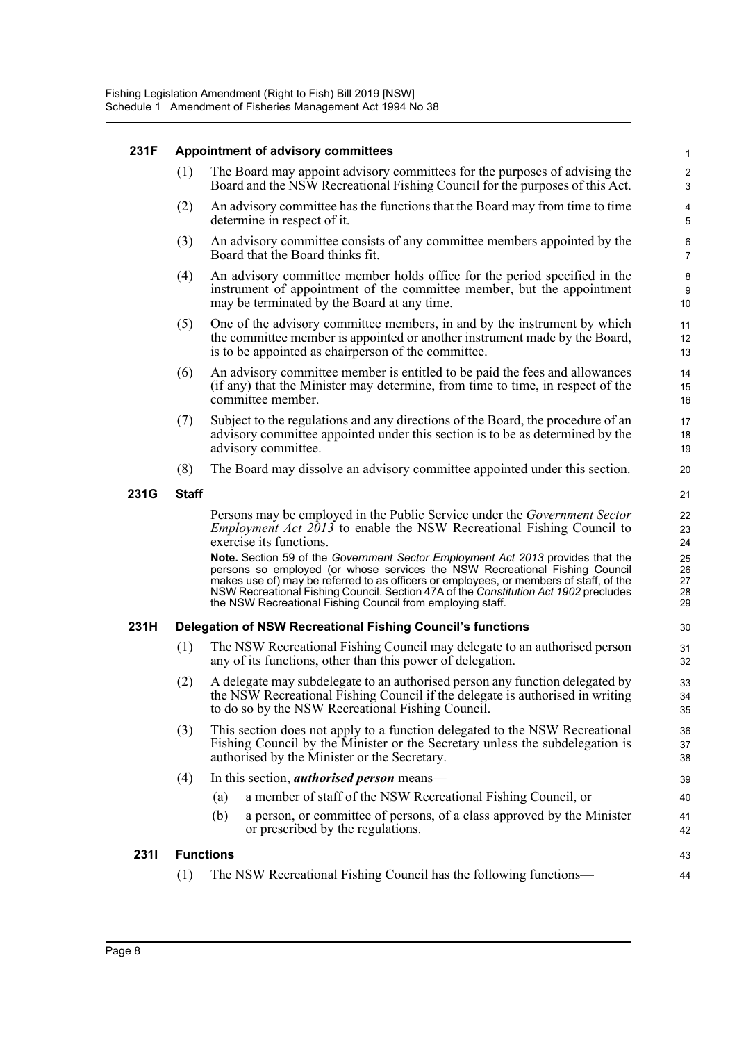### **231F Appointment of advisory committees**

(1) The Board may appoint advisory committees for the purposes of advising the Board and the NSW Recreational Fishing Council for the purposes of this Act.

43 44

- (2) An advisory committee has the functions that the Board may from time to time determine in respect of it.
- (3) An advisory committee consists of any committee members appointed by the Board that the Board thinks fit.
- (4) An advisory committee member holds office for the period specified in the instrument of appointment of the committee member, but the appointment may be terminated by the Board at any time.
- (5) One of the advisory committee members, in and by the instrument by which the committee member is appointed or another instrument made by the Board, is to be appointed as chairperson of the committee.
- (6) An advisory committee member is entitled to be paid the fees and allowances (if any) that the Minister may determine, from time to time, in respect of the committee member.
- (7) Subject to the regulations and any directions of the Board, the procedure of an advisory committee appointed under this section is to be as determined by the advisory committee.
- (8) The Board may dissolve an advisory committee appointed under this section.

### **231G Staff**

Persons may be employed in the Public Service under the *Government Sector Employment Act 2013* to enable the NSW Recreational Fishing Council to exercise its functions.

**Note.** Section 59 of the *Government Sector Employment Act 2013* provides that the persons so employed (or whose services the NSW Recreational Fishing Council makes use of) may be referred to as officers or employees, or members of staff, of the NSW Recreational Fishing Council. Section 47A of the *Constitution Act 1902* precludes the NSW Recreational Fishing Council from employing staff.

### **231H Delegation of NSW Recreational Fishing Council's functions**

- (1) The NSW Recreational Fishing Council may delegate to an authorised person any of its functions, other than this power of delegation.
- (2) A delegate may subdelegate to an authorised person any function delegated by the NSW Recreational Fishing Council if the delegate is authorised in writing to do so by the NSW Recreational Fishing Council.
- (3) This section does not apply to a function delegated to the NSW Recreational Fishing Council by the Minister or the Secretary unless the subdelegation is authorised by the Minister or the Secretary.

### (4) In this section, *authorised person* means—

- (a) a member of staff of the NSW Recreational Fishing Council, or
- (b) a person, or committee of persons, of a class approved by the Minister or prescribed by the regulations.

### **231I Functions**

(1) The NSW Recreational Fishing Council has the following functions—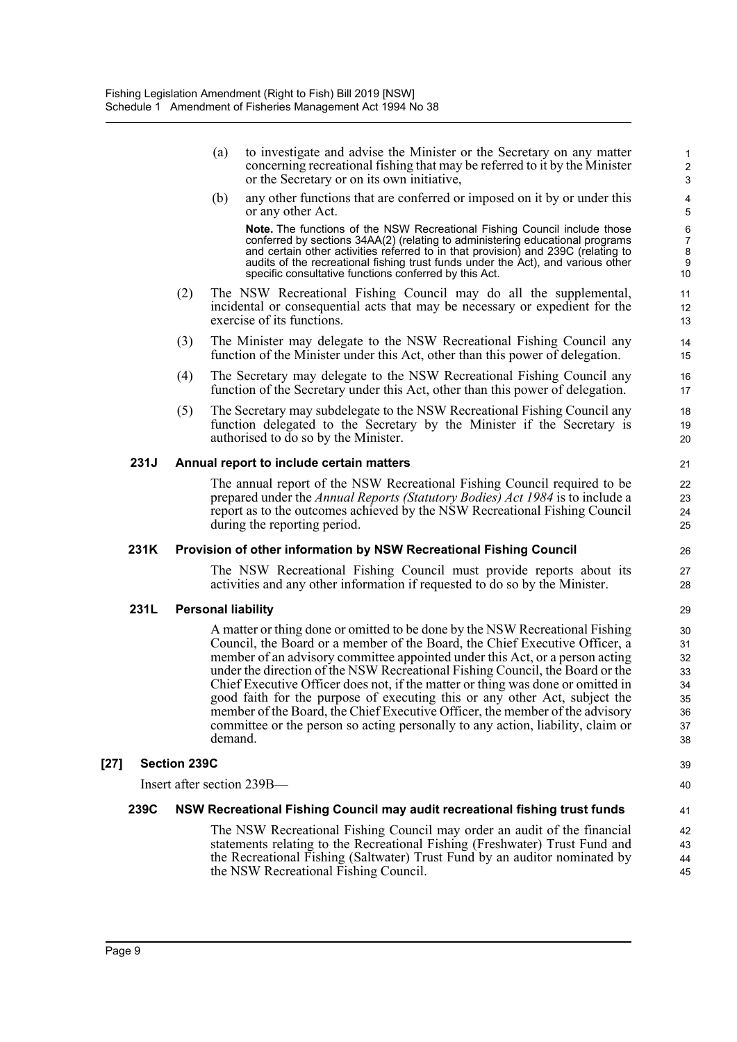|        |      |                     | (a)     | to investigate and advise the Minister or the Secretary on any matter<br>concerning recreational fishing that may be referred to it by the Minister<br>or the Secretary or on its own initiative,                                                                                                                                                                                                                                                                                                                                                                                                                                                                | $\mathbf{1}$<br>$\boldsymbol{2}$<br>$\ensuremath{\mathsf{3}}$ |
|--------|------|---------------------|---------|------------------------------------------------------------------------------------------------------------------------------------------------------------------------------------------------------------------------------------------------------------------------------------------------------------------------------------------------------------------------------------------------------------------------------------------------------------------------------------------------------------------------------------------------------------------------------------------------------------------------------------------------------------------|---------------------------------------------------------------|
|        |      |                     | (b)     | any other functions that are conferred or imposed on it by or under this<br>or any other Act.                                                                                                                                                                                                                                                                                                                                                                                                                                                                                                                                                                    | 4<br>5                                                        |
|        |      |                     |         | <b>Note.</b> The functions of the NSW Recreational Fishing Council include those<br>conferred by sections 34AA(2) (relating to administering educational programs<br>and certain other activities referred to in that provision) and 239C (relating to<br>audits of the recreational fishing trust funds under the Act), and various other<br>specific consultative functions conferred by this Act.                                                                                                                                                                                                                                                             | 6<br>$\overline{7}$<br>8<br>$\boldsymbol{9}$<br>10            |
|        |      | (2)                 |         | The NSW Recreational Fishing Council may do all the supplemental,<br>incidental or consequential acts that may be necessary or expedient for the<br>exercise of its functions.                                                                                                                                                                                                                                                                                                                                                                                                                                                                                   | 11<br>12<br>13                                                |
|        |      | (3)                 |         | The Minister may delegate to the NSW Recreational Fishing Council any<br>function of the Minister under this Act, other than this power of delegation.                                                                                                                                                                                                                                                                                                                                                                                                                                                                                                           | 14<br>15                                                      |
|        |      | (4)                 |         | The Secretary may delegate to the NSW Recreational Fishing Council any<br>function of the Secretary under this Act, other than this power of delegation.                                                                                                                                                                                                                                                                                                                                                                                                                                                                                                         | 16<br>17                                                      |
|        |      | (5)                 |         | The Secretary may subdelegate to the NSW Recreational Fishing Council any<br>function delegated to the Secretary by the Minister if the Secretary is<br>authorised to do so by the Minister.                                                                                                                                                                                                                                                                                                                                                                                                                                                                     | 18<br>19<br>20                                                |
|        | 231J |                     |         | Annual report to include certain matters                                                                                                                                                                                                                                                                                                                                                                                                                                                                                                                                                                                                                         | 21                                                            |
|        |      |                     |         | The annual report of the NSW Recreational Fishing Council required to be<br>prepared under the Annual Reports (Statutory Bodies) Act 1984 is to include a<br>report as to the outcomes achieved by the NSW Recreational Fishing Council<br>during the reporting period.                                                                                                                                                                                                                                                                                                                                                                                          | 22<br>23<br>24<br>25                                          |
|        | 231K |                     |         | Provision of other information by NSW Recreational Fishing Council                                                                                                                                                                                                                                                                                                                                                                                                                                                                                                                                                                                               | 26                                                            |
|        |      |                     |         | The NSW Recreational Fishing Council must provide reports about its<br>activities and any other information if requested to do so by the Minister.                                                                                                                                                                                                                                                                                                                                                                                                                                                                                                               | 27<br>28                                                      |
|        | 231L |                     |         | <b>Personal liability</b>                                                                                                                                                                                                                                                                                                                                                                                                                                                                                                                                                                                                                                        | 29                                                            |
|        |      |                     | demand. | A matter or thing done or omitted to be done by the NSW Recreational Fishing<br>Council, the Board or a member of the Board, the Chief Executive Officer, a<br>member of an advisory committee appointed under this Act, or a person acting<br>under the direction of the NSW Recreational Fishing Council, the Board or the<br>Chief Executive Officer does not, if the matter or thing was done or omitted in<br>good faith for the purpose of executing this or any other Act, subject the<br>member of the Board, the Chief Executive Officer, the member of the advisory<br>committee or the person so acting personally to any action, liability, claim or | 30<br>31<br>32<br>33<br>34<br>35<br>36<br>37<br>38            |
| $[27]$ |      | <b>Section 239C</b> |         |                                                                                                                                                                                                                                                                                                                                                                                                                                                                                                                                                                                                                                                                  | 39                                                            |
|        |      |                     |         | Insert after section 239B-                                                                                                                                                                                                                                                                                                                                                                                                                                                                                                                                                                                                                                       | 40                                                            |
|        | 239C |                     |         | NSW Recreational Fishing Council may audit recreational fishing trust funds                                                                                                                                                                                                                                                                                                                                                                                                                                                                                                                                                                                      | 41                                                            |
|        |      |                     |         | The NSW Recreational Fishing Council may order an audit of the financial<br>statements relating to the Recreational Fishing (Freshwater) Trust Fund and<br>the Recreational Fishing (Saltwater) Trust Fund by an auditor nominated by<br>the NSW Recreational Fishing Council.                                                                                                                                                                                                                                                                                                                                                                                   | 42<br>43<br>44<br>45                                          |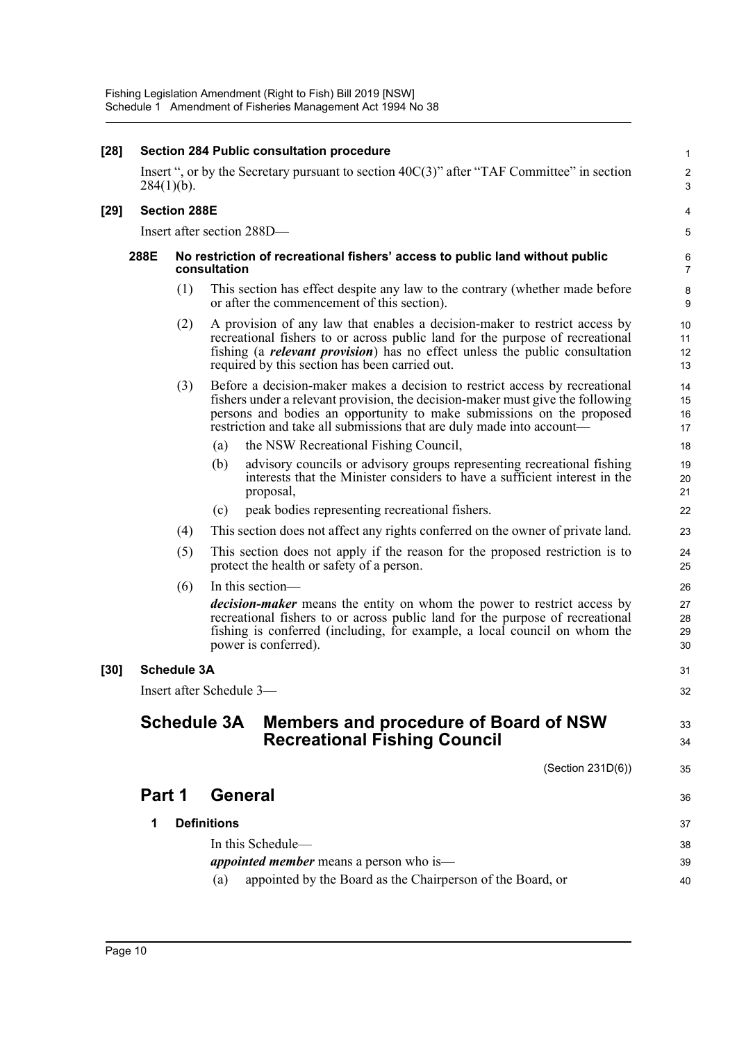| $[28]$ |               |                     |                    | Section 284 Public consultation procedure                                                                                                                                                                                                                                                                       | $\mathbf{1}$         |
|--------|---------------|---------------------|--------------------|-----------------------------------------------------------------------------------------------------------------------------------------------------------------------------------------------------------------------------------------------------------------------------------------------------------------|----------------------|
|        | $284(1)(b)$ . |                     |                    | Insert ", or by the Secretary pursuant to section $40C(3)$ " after "TAF Committee" in section                                                                                                                                                                                                                   | $\sqrt{2}$<br>3      |
| $[29]$ |               | <b>Section 288E</b> |                    |                                                                                                                                                                                                                                                                                                                 | 4                    |
|        |               |                     |                    | Insert after section 288D-                                                                                                                                                                                                                                                                                      | 5                    |
|        | 288E          |                     | consultation       | No restriction of recreational fishers' access to public land without public                                                                                                                                                                                                                                    | 6<br>$\overline{7}$  |
|        |               | (1)                 |                    | This section has effect despite any law to the contrary (whether made before<br>or after the commencement of this section).                                                                                                                                                                                     | $\bf 8$<br>9         |
|        |               | (2)                 |                    | A provision of any law that enables a decision-maker to restrict access by<br>recreational fishers to or across public land for the purpose of recreational<br>fishing (a <i>relevant provision</i> ) has no effect unless the public consultation<br>required by this section has been carried out.            | 10<br>11<br>12<br>13 |
|        |               | (3)                 |                    | Before a decision-maker makes a decision to restrict access by recreational<br>fishers under a relevant provision, the decision-maker must give the following<br>persons and bodies an opportunity to make submissions on the proposed<br>restriction and take all submissions that are duly made into account— | 14<br>15<br>16<br>17 |
|        |               |                     | (a)                | the NSW Recreational Fishing Council,                                                                                                                                                                                                                                                                           | 18                   |
|        |               |                     | (b)                | advisory councils or advisory groups representing recreational fishing<br>interests that the Minister considers to have a sufficient interest in the<br>proposal,                                                                                                                                               | 19<br>20<br>21       |
|        |               |                     | (c)                | peak bodies representing recreational fishers.                                                                                                                                                                                                                                                                  | 22                   |
|        |               | (4)                 |                    | This section does not affect any rights conferred on the owner of private land.                                                                                                                                                                                                                                 | 23                   |
|        |               | (5)                 |                    | This section does not apply if the reason for the proposed restriction is to<br>protect the health or safety of a person.                                                                                                                                                                                       | 24<br>25             |
|        |               | (6)                 |                    | In this section—                                                                                                                                                                                                                                                                                                | 26                   |
|        |               |                     |                    | decision-maker means the entity on whom the power to restrict access by<br>recreational fishers to or across public land for the purpose of recreational<br>fishing is conferred (including, for example, a local council on whom the<br>power is conferred).                                                   | 27<br>28<br>29<br>30 |
| $[30]$ |               | <b>Schedule 3A</b>  |                    |                                                                                                                                                                                                                                                                                                                 | 31                   |
|        |               |                     |                    | Insert after Schedule 3-                                                                                                                                                                                                                                                                                        | 32                   |
|        |               | <b>Schedule 3A</b>  |                    | Members and procedure of Board of NSW<br><b>Recreational Fishing Council</b>                                                                                                                                                                                                                                    | 33<br>34             |
|        |               |                     |                    | (Section 231D(6))                                                                                                                                                                                                                                                                                               | 35                   |
|        | Part 1        |                     |                    | General                                                                                                                                                                                                                                                                                                         | 36                   |
|        | 1             |                     | <b>Definitions</b> |                                                                                                                                                                                                                                                                                                                 | 37                   |
|        |               |                     |                    | In this Schedule-                                                                                                                                                                                                                                                                                               | 38                   |
|        |               |                     |                    | <i>appointed member</i> means a person who is—                                                                                                                                                                                                                                                                  | 39                   |
|        |               |                     | (a)                | appointed by the Board as the Chairperson of the Board, or                                                                                                                                                                                                                                                      | 40                   |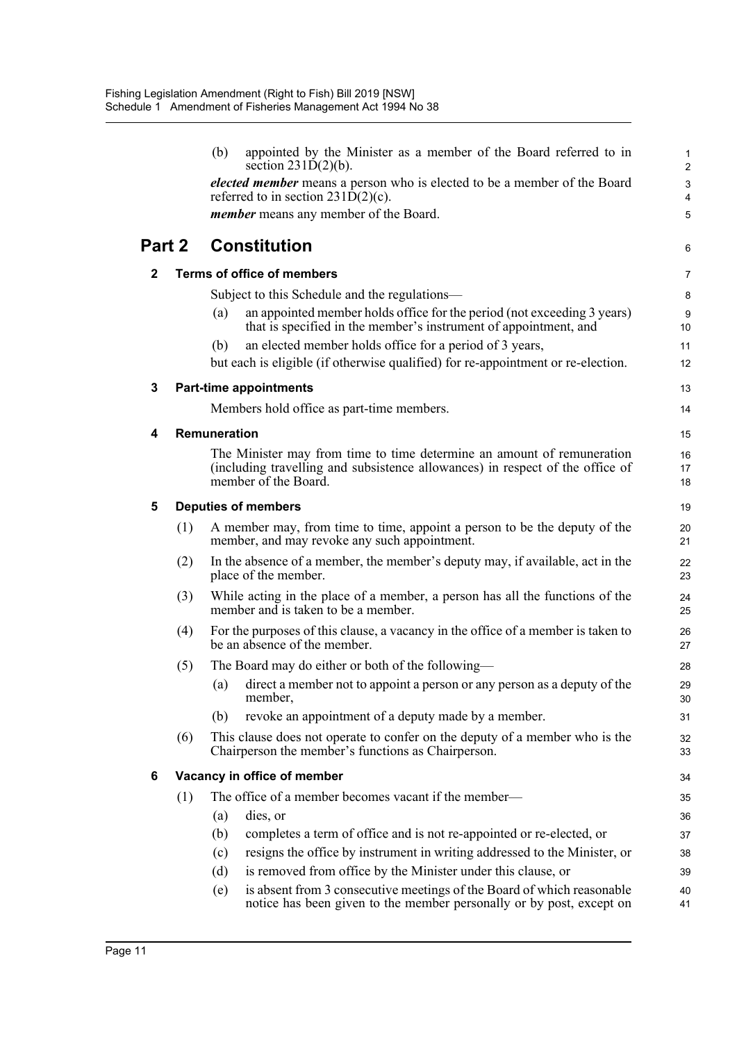|        |     | (b)<br>appointed by the Minister as a member of the Board referred to in<br>section $231D(2)(b)$ .                                                                              | 1<br>$\overline{c}$    |
|--------|-----|---------------------------------------------------------------------------------------------------------------------------------------------------------------------------------|------------------------|
|        |     | elected member means a person who is elected to be a member of the Board<br>referred to in section $231\overline{D}(2)(c)$ .                                                    | 3<br>4                 |
|        |     | <i>member</i> means any member of the Board.                                                                                                                                    | 5                      |
| Part 2 |     | <b>Constitution</b>                                                                                                                                                             | 6                      |
| 2      |     | <b>Terms of office of members</b>                                                                                                                                               | $\overline{7}$         |
|        |     | Subject to this Schedule and the regulations—                                                                                                                                   | 8                      |
|        |     | an appointed member holds office for the period (not exceeding 3 years)<br>(a)<br>that is specified in the member's instrument of appointment, and                              | $\boldsymbol{9}$<br>10 |
|        |     | an elected member holds office for a period of 3 years,<br>(b)                                                                                                                  | 11                     |
|        |     | but each is eligible (if otherwise qualified) for re-appointment or re-election.                                                                                                | 12                     |
| 3      |     | <b>Part-time appointments</b>                                                                                                                                                   | 13                     |
|        |     | Members hold office as part-time members.                                                                                                                                       | 14                     |
| 4      |     | <b>Remuneration</b>                                                                                                                                                             | 15                     |
|        |     | The Minister may from time to time determine an amount of remuneration<br>(including travelling and subsistence allowances) in respect of the office of<br>member of the Board. | 16<br>17<br>18         |
| 5      |     | <b>Deputies of members</b>                                                                                                                                                      | 19                     |
|        | (1) | A member may, from time to time, appoint a person to be the deputy of the<br>member, and may revoke any such appointment.                                                       | 20<br>21               |
|        | (2) | In the absence of a member, the member's deputy may, if available, act in the<br>place of the member.                                                                           | 22<br>23               |
|        | (3) | While acting in the place of a member, a person has all the functions of the<br>member and is taken to be a member.                                                             | 24<br>25               |
|        | (4) | For the purposes of this clause, a vacancy in the office of a member is taken to<br>be an absence of the member.                                                                | 26<br>27               |
|        | (5) | The Board may do either or both of the following—                                                                                                                               | 28                     |
|        |     | direct a member not to appoint a person or any person as a deputy of the<br>(a)<br>member,                                                                                      | 29<br>30               |
|        |     | revoke an appointment of a deputy made by a member.<br>(b)                                                                                                                      | 31                     |
|        | (6) | This clause does not operate to confer on the deputy of a member who is the<br>Chairperson the member's functions as Chairperson.                                               | 32<br>33               |
| 6      |     | Vacancy in office of member                                                                                                                                                     | 34                     |
|        | (1) | The office of a member becomes vacant if the member-                                                                                                                            | 35                     |
|        |     | (a)<br>dies, or                                                                                                                                                                 | 36                     |
|        |     | completes a term of office and is not re-appointed or re-elected, or<br>(b)                                                                                                     | 37                     |
|        |     | resigns the office by instrument in writing addressed to the Minister, or<br>(c)                                                                                                | 38                     |
|        |     | is removed from office by the Minister under this clause, or<br>(d)                                                                                                             | 39                     |
|        |     | is absent from 3 consecutive meetings of the Board of which reasonable<br>(e)<br>notice has been given to the member personally or by post, except on                           | 40<br>41               |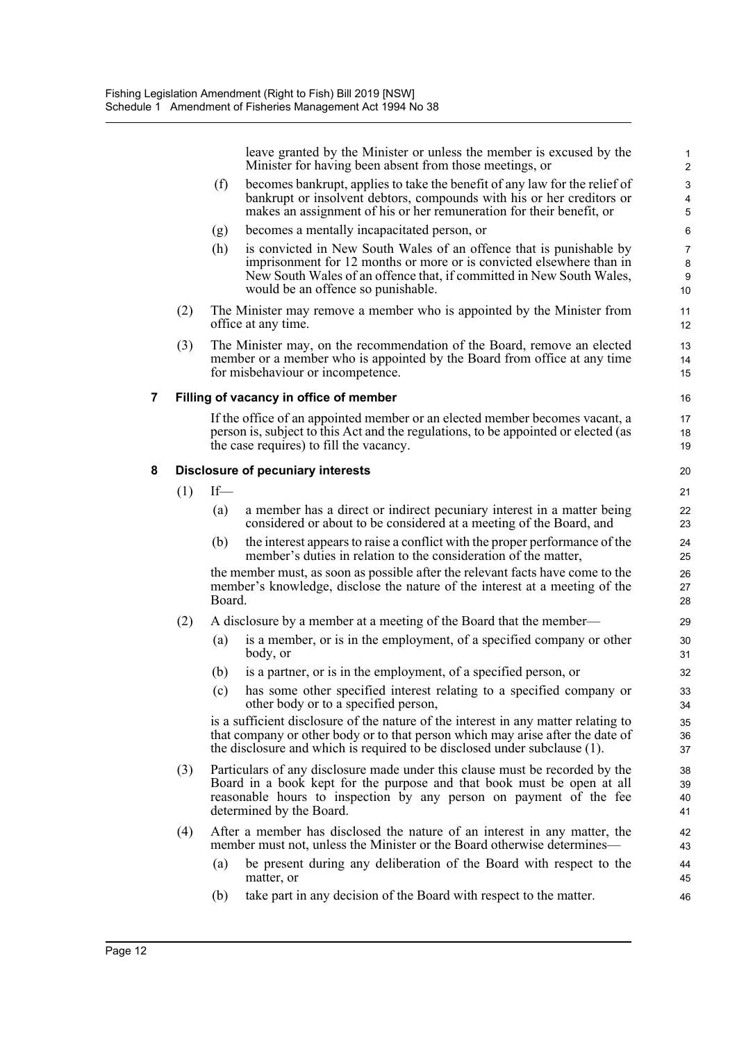leave granted by the Minister or unless the member is excused by the Minister for having been absent from those meetings, or

- (f) becomes bankrupt, applies to take the benefit of any law for the relief of bankrupt or insolvent debtors, compounds with his or her creditors or makes an assignment of his or her remuneration for their benefit, or
- (g) becomes a mentally incapacitated person, or
- (h) is convicted in New South Wales of an offence that is punishable by imprisonment for 12 months or more or is convicted elsewhere than in New South Wales of an offence that, if committed in New South Wales, would be an offence so punishable.
- (2) The Minister may remove a member who is appointed by the Minister from office at any time.
- (3) The Minister may, on the recommendation of the Board, remove an elected member or a member who is appointed by the Board from office at any time for misbehaviour or incompetence.

### **7 Filling of vacancy in office of member**

If the office of an appointed member or an elected member becomes vacant, a person is, subject to this Act and the regulations, to be appointed or elected (as the case requires) to fill the vacancy.

### **8 Disclosure of pecuniary interests**

- $(1)$  If—
	- (a) a member has a direct or indirect pecuniary interest in a matter being considered or about to be considered at a meeting of the Board, and
	- (b) the interest appears to raise a conflict with the proper performance of the member's duties in relation to the consideration of the matter,

the member must, as soon as possible after the relevant facts have come to the member's knowledge, disclose the nature of the interest at a meeting of the Board.

- (2) A disclosure by a member at a meeting of the Board that the member—
	- (a) is a member, or is in the employment, of a specified company or other body, or
	- (b) is a partner, or is in the employment, of a specified person, or
	- (c) has some other specified interest relating to a specified company or other body or to a specified person,

is a sufficient disclosure of the nature of the interest in any matter relating to that company or other body or to that person which may arise after the date of the disclosure and which is required to be disclosed under subclause (1).

- (3) Particulars of any disclosure made under this clause must be recorded by the Board in a book kept for the purpose and that book must be open at all reasonable hours to inspection by any person on payment of the fee determined by the Board.
- (4) After a member has disclosed the nature of an interest in any matter, the member must not, unless the Minister or the Board otherwise determines—
	- (a) be present during any deliberation of the Board with respect to the matter, or
	- (b) take part in any decision of the Board with respect to the matter.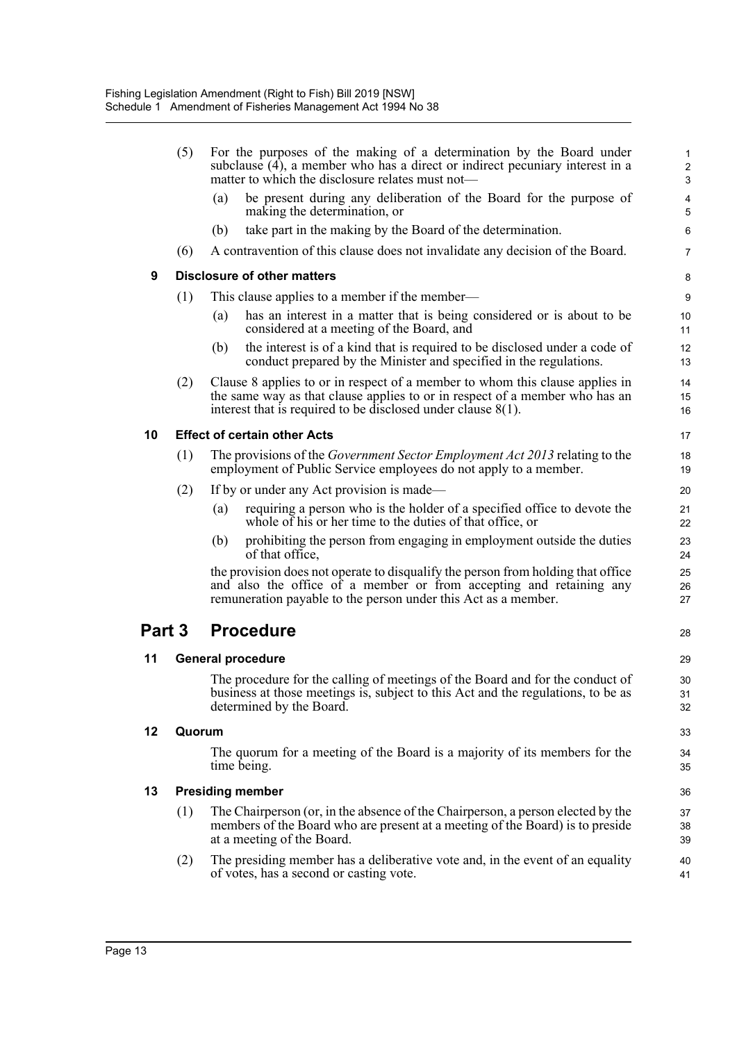|        | (5)    | For the purposes of the making of a determination by the Board under<br>subclause (4), a member who has a direct or indirect pecuniary interest in a<br>matter to which the disclosure relates must not—                       | 1<br>$\boldsymbol{2}$<br>3 |
|--------|--------|--------------------------------------------------------------------------------------------------------------------------------------------------------------------------------------------------------------------------------|----------------------------|
|        |        | be present during any deliberation of the Board for the purpose of<br>(a)<br>making the determination, or                                                                                                                      | 4<br>5                     |
|        |        | take part in the making by the Board of the determination.<br>(b)                                                                                                                                                              | 6                          |
|        | (6)    | A contravention of this clause does not invalidate any decision of the Board.                                                                                                                                                  | 7                          |
| 9      |        | Disclosure of other matters                                                                                                                                                                                                    | 8                          |
|        | (1)    | This clause applies to a member if the member—                                                                                                                                                                                 | 9                          |
|        |        | has an interest in a matter that is being considered or is about to be<br>(a)<br>considered at a meeting of the Board, and                                                                                                     | 10<br>11                   |
|        |        | the interest is of a kind that is required to be disclosed under a code of<br>(b)<br>conduct prepared by the Minister and specified in the regulations.                                                                        | 12<br>13                   |
|        | (2)    | Clause 8 applies to or in respect of a member to whom this clause applies in<br>the same way as that clause applies to or in respect of a member who has an<br>interest that is required to be disclosed under clause $8(1)$ . | 14<br>15<br>16             |
| 10     |        | <b>Effect of certain other Acts</b>                                                                                                                                                                                            | 17                         |
|        | (1)    | The provisions of the <i>Government Sector Employment Act 2013</i> relating to the<br>employment of Public Service employees do not apply to a member.                                                                         | 18<br>19                   |
|        | (2)    | If by or under any Act provision is made—                                                                                                                                                                                      | 20                         |
|        |        | requiring a person who is the holder of a specified office to devote the<br>(a)<br>whole of his or her time to the duties of that office, or                                                                                   | 21<br>22                   |
|        |        | prohibiting the person from engaging in employment outside the duties<br>(b)<br>of that office,                                                                                                                                | 23<br>24                   |
|        |        | the provision does not operate to disqualify the person from holding that office<br>and also the office of a member or from accepting and retaining any<br>remuneration payable to the person under this Act as a member.      | 25<br>26<br>27             |
| Part 3 |        | <b>Procedure</b>                                                                                                                                                                                                               | 28                         |
| 11     |        | <b>General procedure</b>                                                                                                                                                                                                       | 29                         |
|        |        | The procedure for the calling of meetings of the Board and for the conduct of<br>business at those meetings is, subject to this Act and the regulations, to be as<br>determined by the Board.                                  | 30<br>31<br>32             |
| 12     | Quorum |                                                                                                                                                                                                                                | 33                         |
|        |        | The quorum for a meeting of the Board is a majority of its members for the<br>time being.                                                                                                                                      | 34<br>35                   |
| 13     |        | <b>Presiding member</b>                                                                                                                                                                                                        | 36                         |
|        | (1)    | The Chairperson (or, in the absence of the Chairperson, a person elected by the<br>members of the Board who are present at a meeting of the Board) is to preside<br>at a meeting of the Board.                                 | 37<br>38<br>39             |
|        | (2)    | The presiding member has a deliberative vote and, in the event of an equality<br>of votes, has a second or casting vote.                                                                                                       | 40<br>41                   |
|        |        |                                                                                                                                                                                                                                |                            |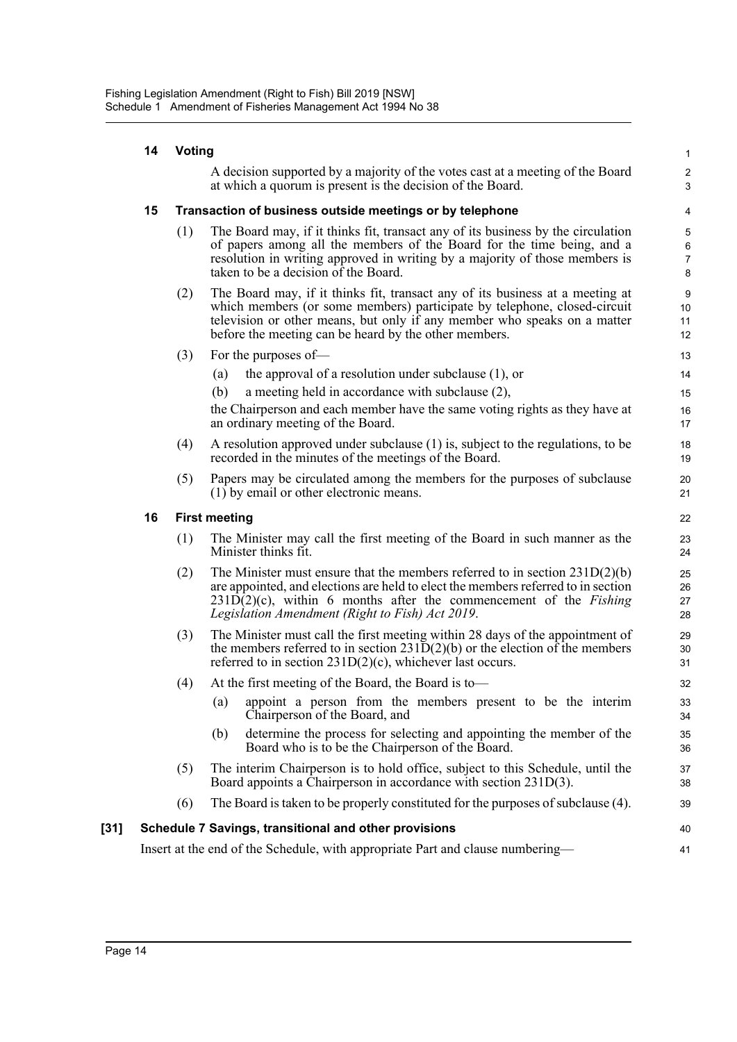|        | 14 | Voting |                                                                                                                                                                                                                                                                                                      | $\mathbf{1}$                                          |
|--------|----|--------|------------------------------------------------------------------------------------------------------------------------------------------------------------------------------------------------------------------------------------------------------------------------------------------------------|-------------------------------------------------------|
|        |    |        | A decision supported by a majority of the votes cast at a meeting of the Board<br>at which a quorum is present is the decision of the Board.                                                                                                                                                         | $\overline{c}$<br>3                                   |
|        | 15 |        | Transaction of business outside meetings or by telephone                                                                                                                                                                                                                                             | 4                                                     |
|        |    | (1)    | The Board may, if it thinks fit, transact any of its business by the circulation<br>of papers among all the members of the Board for the time being, and a<br>resolution in writing approved in writing by a majority of those members is<br>taken to be a decision of the Board.                    | $\,$ 5 $\,$<br>$\,6\,$<br>$\boldsymbol{7}$<br>$\bf 8$ |
|        |    | (2)    | The Board may, if it thinks fit, transact any of its business at a meeting at<br>which members (or some members) participate by telephone, closed-circuit<br>television or other means, but only if any member who speaks on a matter<br>before the meeting can be heard by the other members.       | $\boldsymbol{9}$<br>10<br>11<br>12                    |
|        |    | (3)    | For the purposes of-                                                                                                                                                                                                                                                                                 | 13                                                    |
|        |    |        | the approval of a resolution under subclause $(1)$ , or<br>(a)                                                                                                                                                                                                                                       | 14                                                    |
|        |    |        | (b)<br>a meeting held in accordance with subclause (2),                                                                                                                                                                                                                                              | 15                                                    |
|        |    |        | the Chairperson and each member have the same voting rights as they have at<br>an ordinary meeting of the Board.                                                                                                                                                                                     | 16<br>17                                              |
|        |    | (4)    | A resolution approved under subclause (1) is, subject to the regulations, to be<br>recorded in the minutes of the meetings of the Board.                                                                                                                                                             | 18<br>19                                              |
|        |    | (5)    | Papers may be circulated among the members for the purposes of subclause<br>(1) by email or other electronic means.                                                                                                                                                                                  | 20<br>21                                              |
|        | 16 |        | <b>First meeting</b>                                                                                                                                                                                                                                                                                 | 22                                                    |
|        |    | (1)    | The Minister may call the first meeting of the Board in such manner as the<br>Minister thinks fit.                                                                                                                                                                                                   | 23<br>24                                              |
|        |    | (2)    | The Minister must ensure that the members referred to in section $231D(2)(b)$<br>are appointed, and elections are held to elect the members referred to in section<br>$231D(2)(c)$ , within 6 months after the commencement of the <i>Fishing</i><br>Legislation Amendment (Right to Fish) Act 2019. | 25<br>26<br>27<br>28                                  |
|        |    | (3)    | The Minister must call the first meeting within 28 days of the appointment of<br>the members referred to in section $231D(2)(b)$ or the election of the members<br>referred to in section $231D(2)(c)$ , whichever last occurs.                                                                      | 29<br>30<br>31                                        |
|        |    | (4)    | At the first meeting of the Board, the Board is to-                                                                                                                                                                                                                                                  | 32                                                    |
|        |    |        | appoint a person from the members present to be the interim<br>(a)<br>Chairperson of the Board, and                                                                                                                                                                                                  | 33<br>34                                              |
|        |    |        | determine the process for selecting and appointing the member of the<br>(b)<br>Board who is to be the Chairperson of the Board.                                                                                                                                                                      | 35<br>36                                              |
|        |    | (5)    | The interim Chairperson is to hold office, subject to this Schedule, until the<br>Board appoints a Chairperson in accordance with section 231D(3).                                                                                                                                                   | 37<br>38                                              |
|        |    | (6)    | The Board is taken to be properly constituted for the purposes of subclause (4).                                                                                                                                                                                                                     | 39                                                    |
| $[31]$ |    |        | Schedule 7 Savings, transitional and other provisions                                                                                                                                                                                                                                                | 40                                                    |
|        |    |        | Insert at the end of the Schedule, with appropriate Part and clause numbering—                                                                                                                                                                                                                       | 41                                                    |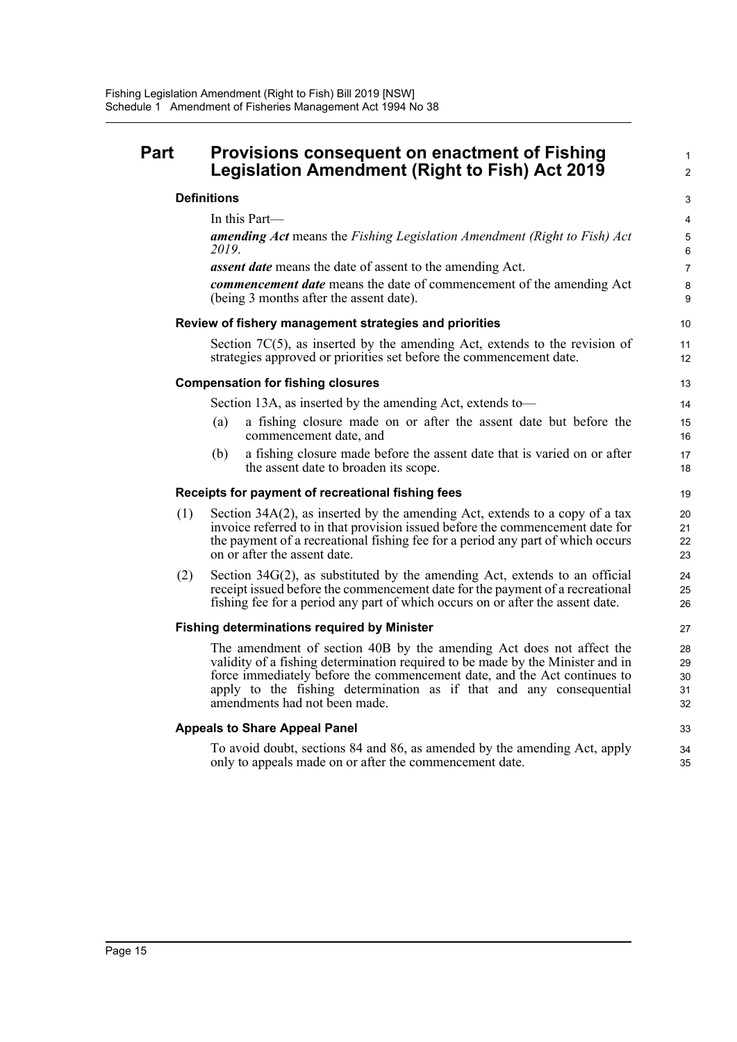## **Part Provisions consequent on enactment of Fishing Legislation Amendment (Right to Fish) Act 2019**

## **Definitions**

In this Part—

*amending Act* means the *Fishing Legislation Amendment (Right to Fish) Act 2019*. *assent date* means the date of assent to the amending Act.

1  $\overline{2}$ 

33 34 35

*commencement date* means the date of commencement of the amending Act (being 3 months after the assent date).

### **Review of fishery management strategies and priorities**

Section 7C(5), as inserted by the amending Act, extends to the revision of strategies approved or priorities set before the commencement date.

### **Compensation for fishing closures**

Section 13A, as inserted by the amending Act, extends to—

- (a) a fishing closure made on or after the assent date but before the commencement date, and
- (b) a fishing closure made before the assent date that is varied on or after the assent date to broaden its scope.

### **Receipts for payment of recreational fishing fees**

- (1) Section 34A(2), as inserted by the amending Act, extends to a copy of a tax invoice referred to in that provision issued before the commencement date for the payment of a recreational fishing fee for a period any part of which occurs on or after the assent date.
- (2) Section 34G(2), as substituted by the amending Act, extends to an official receipt issued before the commencement date for the payment of a recreational fishing fee for a period any part of which occurs on or after the assent date.

### **Fishing determinations required by Minister**

The amendment of section 40B by the amending Act does not affect the validity of a fishing determination required to be made by the Minister and in force immediately before the commencement date, and the Act continues to apply to the fishing determination as if that and any consequential amendments had not been made.

### **Appeals to Share Appeal Panel**

To avoid doubt, sections 84 and 86, as amended by the amending Act, apply only to appeals made on or after the commencement date.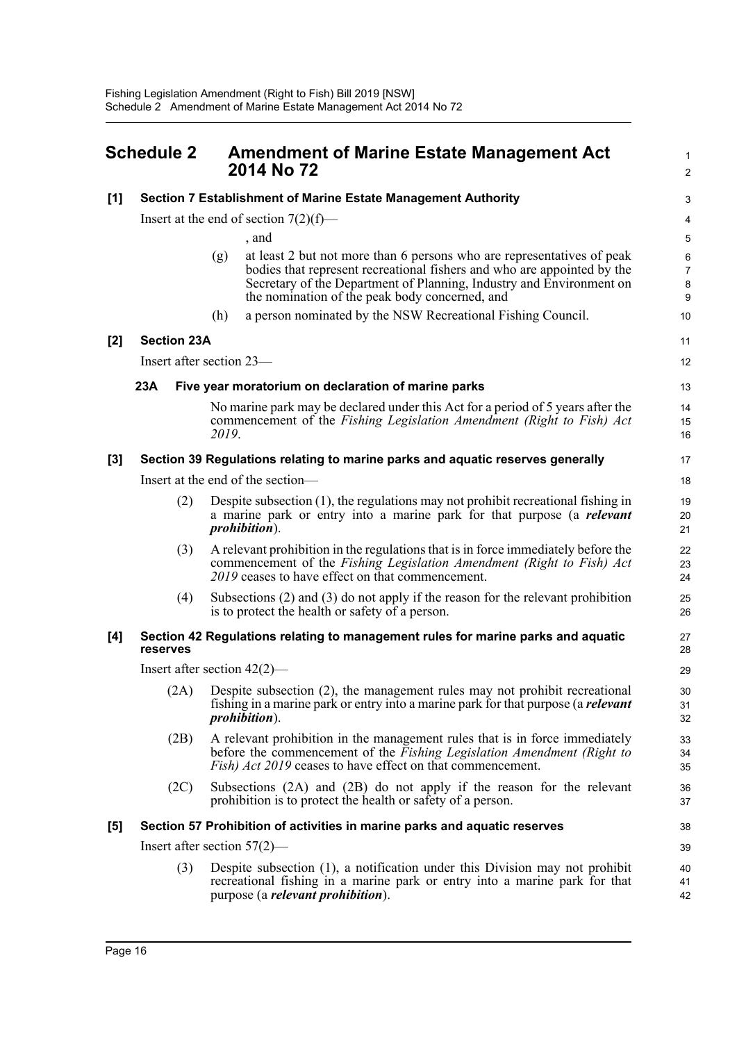<span id="page-21-0"></span>

| <b>Schedule 2</b> |                                                                                              |       | <b>Amendment of Marine Estate Management Act</b><br>2014 No 72                                                                                                                                                                                                              |                               |  |
|-------------------|----------------------------------------------------------------------------------------------|-------|-----------------------------------------------------------------------------------------------------------------------------------------------------------------------------------------------------------------------------------------------------------------------------|-------------------------------|--|
| [1]               | Section 7 Establishment of Marine Estate Management Authority                                |       | 3                                                                                                                                                                                                                                                                           |                               |  |
|                   | Insert at the end of section $7(2)(f)$ —                                                     |       |                                                                                                                                                                                                                                                                             | 4                             |  |
|                   |                                                                                              |       | , and                                                                                                                                                                                                                                                                       | 5                             |  |
|                   |                                                                                              | (g)   | at least 2 but not more than 6 persons who are representatives of peak<br>bodies that represent recreational fishers and who are appointed by the<br>Secretary of the Department of Planning, Industry and Environment on<br>the nomination of the peak body concerned, and | 6<br>$\overline{7}$<br>8<br>9 |  |
|                   |                                                                                              | (h)   | a person nominated by the NSW Recreational Fishing Council.                                                                                                                                                                                                                 | 10                            |  |
| [2]               | <b>Section 23A</b>                                                                           |       |                                                                                                                                                                                                                                                                             | 11                            |  |
|                   | Insert after section 23—                                                                     |       |                                                                                                                                                                                                                                                                             |                               |  |
|                   | 23A                                                                                          |       | Five year moratorium on declaration of marine parks                                                                                                                                                                                                                         | 13                            |  |
|                   |                                                                                              | 2019. | No marine park may be declared under this Act for a period of 5 years after the<br>commencement of the Fishing Legislation Amendment (Right to Fish) Act                                                                                                                    | 14<br>15<br>16                |  |
| $[3]$             | Section 39 Regulations relating to marine parks and aquatic reserves generally               |       |                                                                                                                                                                                                                                                                             |                               |  |
|                   | Insert at the end of the section—                                                            |       |                                                                                                                                                                                                                                                                             |                               |  |
|                   | (2)                                                                                          |       | Despite subsection $(1)$ , the regulations may not prohibit recreational fishing in<br>a marine park or entry into a marine park for that purpose (a <i>relevant</i><br><i>prohibition</i> ).                                                                               | 19<br>20<br>21                |  |
|                   | (3)                                                                                          |       | A relevant prohibition in the regulations that is in force immediately before the<br>commencement of the Fishing Legislation Amendment (Right to Fish) Act<br>2019 ceases to have effect on that commencement.                                                              | 22<br>23<br>24                |  |
|                   | (4)                                                                                          |       | Subsections $(2)$ and $(3)$ do not apply if the reason for the relevant prohibition<br>is to protect the health or safety of a person.                                                                                                                                      | 25<br>26                      |  |
| [4]               | Section 42 Regulations relating to management rules for marine parks and aquatic<br>reserves |       |                                                                                                                                                                                                                                                                             |                               |  |
|                   | Insert after section $42(2)$ —                                                               |       |                                                                                                                                                                                                                                                                             | 29                            |  |
|                   | (2A)                                                                                         |       | Despite subsection (2), the management rules may not prohibit recreational<br>fishing in a marine park or entry into a marine park for that purpose (a <i>relevant</i><br><i>prohibition</i> ).                                                                             | 30<br>31<br>32                |  |
|                   | (2B)                                                                                         |       | A relevant prohibition in the management rules that is in force immediately<br>before the commencement of the Fishing Legislation Amendment (Right to<br>Fish) Act 2019 ceases to have effect on that commencement.                                                         | 33<br>34<br>35                |  |
|                   | (2C)                                                                                         |       | Subsections (2A) and (2B) do not apply if the reason for the relevant<br>prohibition is to protect the health or safety of a person.                                                                                                                                        | 36<br>37                      |  |
| [5]               | Section 57 Prohibition of activities in marine parks and aquatic reserves                    |       |                                                                                                                                                                                                                                                                             |                               |  |
|                   | Insert after section $57(2)$ —                                                               |       |                                                                                                                                                                                                                                                                             |                               |  |
|                   | (3)                                                                                          |       | Despite subsection (1), a notification under this Division may not prohibit<br>recreational fishing in a marine park or entry into a marine park for that<br>purpose (a <i>relevant prohibition</i> ).                                                                      | 40<br>41<br>42                |  |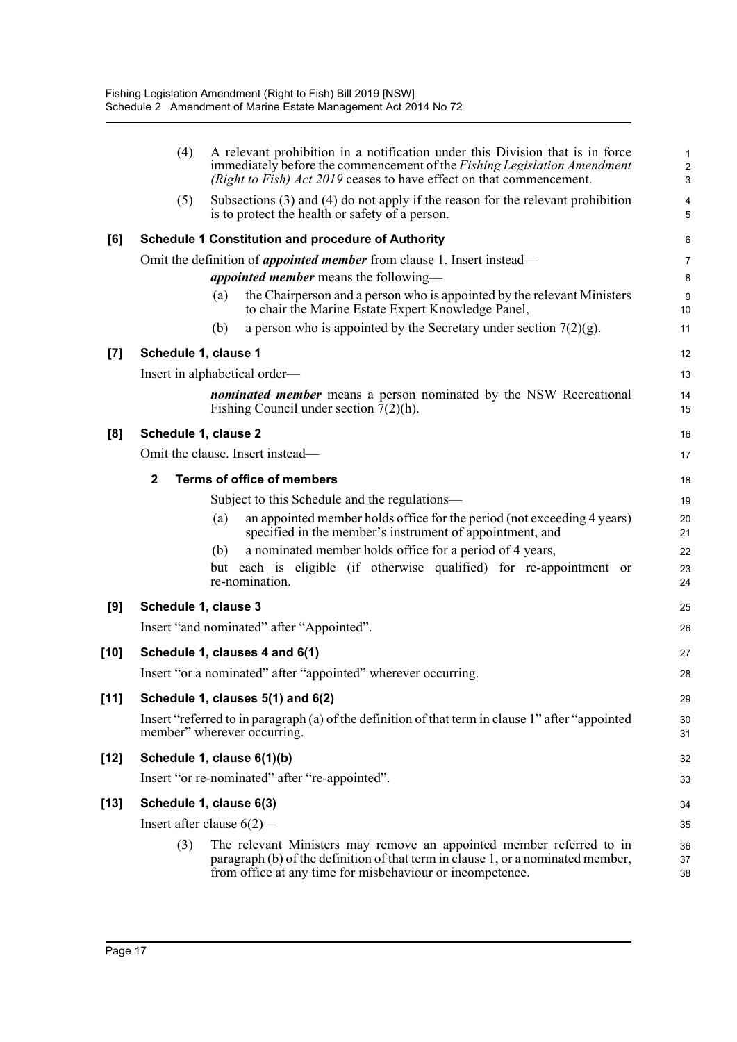|        | (4)                            | A relevant prohibition in a notification under this Division that is in force<br>immediately before the commencement of the <i>Fishing Legislation Amendment</i><br>(Right to Fish) Act 2019 ceases to have effect on that commencement. | 1<br>$\sqrt{2}$<br>3 |  |  |
|--------|--------------------------------|------------------------------------------------------------------------------------------------------------------------------------------------------------------------------------------------------------------------------------------|----------------------|--|--|
|        | (5)                            | Subsections $(3)$ and $(4)$ do not apply if the reason for the relevant prohibition<br>is to protect the health or safety of a person.                                                                                                   | 4<br>5               |  |  |
| [6]    |                                | <b>Schedule 1 Constitution and procedure of Authority</b>                                                                                                                                                                                | 6                    |  |  |
|        |                                | Omit the definition of <i>appointed member</i> from clause 1. Insert instead—                                                                                                                                                            | $\overline{7}$       |  |  |
|        |                                | <i>appointed member</i> means the following—                                                                                                                                                                                             | 8                    |  |  |
|        |                                | the Chairperson and a person who is appointed by the relevant Ministers<br>(a)<br>to chair the Marine Estate Expert Knowledge Panel,                                                                                                     | 9<br>10              |  |  |
|        |                                | a person who is appointed by the Secretary under section $7(2)(g)$ .<br>(b)                                                                                                                                                              | 11                   |  |  |
| $[7]$  | Schedule 1, clause 1           |                                                                                                                                                                                                                                          |                      |  |  |
|        | Insert in alphabetical order—  |                                                                                                                                                                                                                                          |                      |  |  |
|        |                                | <i>nominated member</i> means a person nominated by the NSW Recreational<br>Fishing Council under section $7(2)(h)$ .                                                                                                                    | 14<br>15             |  |  |
| [8]    | Schedule 1, clause 2           |                                                                                                                                                                                                                                          | 16                   |  |  |
|        |                                | Omit the clause. Insert instead-                                                                                                                                                                                                         | 17                   |  |  |
|        | $\mathbf{2}$                   | <b>Terms of office of members</b>                                                                                                                                                                                                        | 18                   |  |  |
|        |                                | Subject to this Schedule and the regulations—                                                                                                                                                                                            | 19                   |  |  |
|        |                                | an appointed member holds office for the period (not exceeding 4 years)<br>(a)<br>specified in the member's instrument of appointment, and                                                                                               | 20<br>21             |  |  |
|        |                                | a nominated member holds office for a period of 4 years,<br>(b)                                                                                                                                                                          | 22                   |  |  |
|        |                                | but each is eligible (if otherwise qualified) for re-appointment or<br>re-nomination.                                                                                                                                                    | 23<br>24             |  |  |
| [9]    | Schedule 1, clause 3           |                                                                                                                                                                                                                                          |                      |  |  |
|        |                                | Insert "and nominated" after "Appointed".                                                                                                                                                                                                | 26                   |  |  |
| [10]   | Schedule 1, clauses 4 and 6(1) |                                                                                                                                                                                                                                          |                      |  |  |
|        |                                | Insert "or a nominated" after "appointed" wherever occurring.                                                                                                                                                                            | 28                   |  |  |
| $[11]$ |                                | Schedule 1, clauses 5(1) and 6(2)                                                                                                                                                                                                        | 29                   |  |  |
|        |                                | Insert "referred to in paragraph (a) of the definition of that term in clause 1" after "appointed<br>member" wherever occurring.                                                                                                         | 30<br>31             |  |  |
| [12]   | Schedule 1, clause 6(1)(b)     |                                                                                                                                                                                                                                          |                      |  |  |
|        |                                | Insert "or re-nominated" after "re-appointed".                                                                                                                                                                                           | 33                   |  |  |
| [13]   |                                | Schedule 1, clause 6(3)                                                                                                                                                                                                                  | 34                   |  |  |
|        | Insert after clause $6(2)$ —   |                                                                                                                                                                                                                                          |                      |  |  |
|        | (3)                            | The relevant Ministers may remove an appointed member referred to in<br>paragraph (b) of the definition of that term in clause 1, or a nominated member,<br>from office at any time for misbehaviour or incompetence.                    | 35<br>36<br>37<br>38 |  |  |